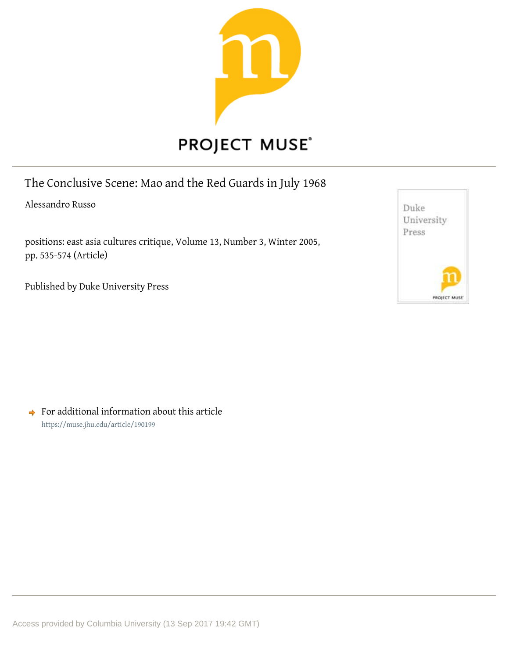

# **PROJECT MUSE®**

## The Conclusive Scene: Mao and the Red Guards in July 1968

Alessandro Russo

positions: east asia cultures critique, Volume 13, Number 3, Winter 2005, pp. 535-574 (Article)

Published by Duke University Press



 $\rightarrow$  For additional information about this article <https://muse.jhu.edu/article/190199>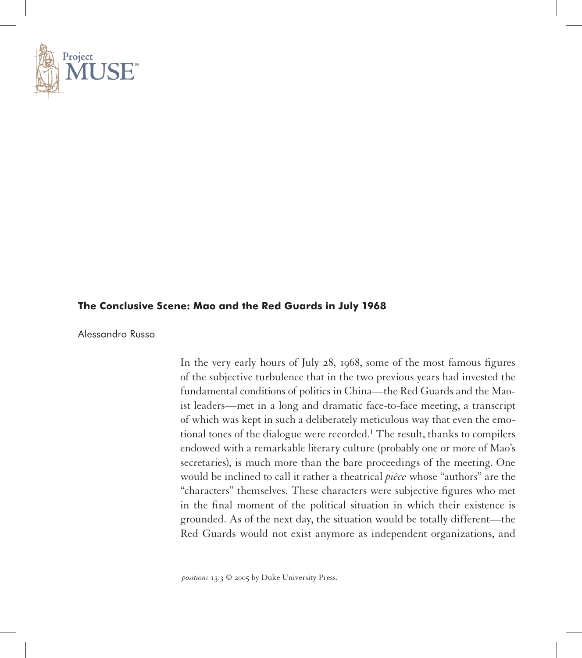

### **The Conclusive Scene: Mao and the Red Guards in July 1968**

Alessandro Russo

In the very early hours of July 28, 1968, some of the most famous figures of the subjective turbulence that in the two previous years had invested the fundamental conditions of politics in China—the Red Guards and the Maoist leaders—met in a long and dramatic face-to-face meeting, a transcript of which was kept in such a deliberately meticulous way that even the emotional tones of the dialogue were recorded.<sup>1</sup> The result, thanks to compilers endowed with a remarkable literary culture (probably one or more of Mao's secretaries), is much more than the bare proceedings of the meeting. One would be inclined to call it rather a theatrical *pièce* whose "authors" are the "characters" themselves. These characters were subjective figures who met in the final moment of the political situation in which their existence is grounded. As of the next day, the situation would be totally different—the Red Guards would not exist anymore as independent organizations, and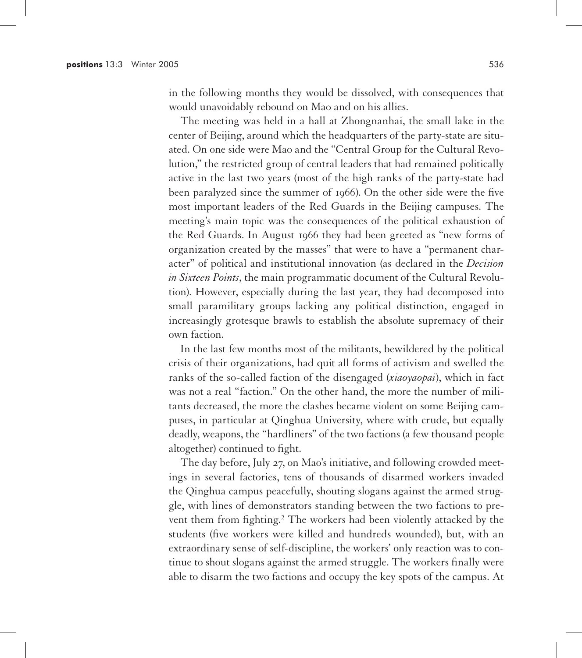in the following months they would be dissolved, with consequences that would unavoidably rebound on Mao and on his allies.

The meeting was held in a hall at Zhongnanhai, the small lake in the center of Beijing, around which the headquarters of the party-state are situated. On one side were Mao and the "Central Group for the Cultural Revolution," the restricted group of central leaders that had remained politically active in the last two years (most of the high ranks of the party-state had been paralyzed since the summer of 1966). On the other side were the five most important leaders of the Red Guards in the Beijing campuses. The meeting's main topic was the consequences of the political exhaustion of the Red Guards. In August 1966 they had been greeted as "new forms of organization created by the masses" that were to have a "permanent character" of political and institutional innovation (as declared in the *Decision in Sixteen Points*, the main programmatic document of the Cultural Revolution). However, especially during the last year, they had decomposed into small paramilitary groups lacking any political distinction, engaged in increasingly grotesque brawls to establish the absolute supremacy of their own faction.

In the last few months most of the militants, bewildered by the political crisis of their organizations, had quit all forms of activism and swelled the ranks of the so-called faction of the disengaged (*xiaoyaopai*), which in fact was not a real "faction." On the other hand, the more the number of militants decreased, the more the clashes became violent on some Beijing campuses, in particular at Qinghua University, where with crude, but equally deadly, weapons, the "hardliners" of the two factions (a few thousand people altogether) continued to fight.

The day before, July 27, on Mao's initiative, and following crowded meetings in several factories, tens of thousands of disarmed workers invaded the Qinghua campus peacefully, shouting slogans against the armed struggle, with lines of demonstrators standing between the two factions to prevent them from fighting.<sup>2</sup> The workers had been violently attacked by the students (five workers were killed and hundreds wounded), but, with an extraordinary sense of self-discipline, the workers' only reaction was to continue to shout slogans against the armed struggle. The workers finally were able to disarm the two factions and occupy the key spots of the campus. At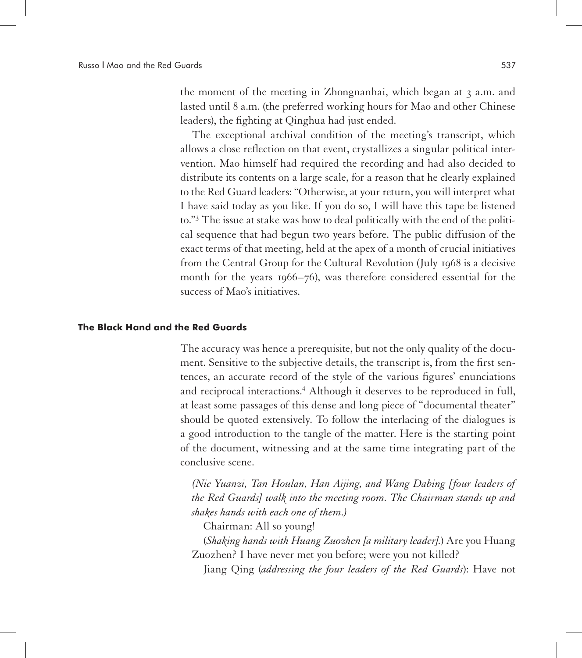the moment of the meeting in Zhongnanhai, which began at 3 a.m. and lasted until 8 a.m. (the preferred working hours for Mao and other Chinese leaders), the fighting at Qinghua had just ended.

The exceptional archival condition of the meeting's transcript, which allows a close reflection on that event, crystallizes a singular political intervention. Mao himself had required the recording and had also decided to distribute its contents on a large scale, for a reason that he clearly explained to the Red Guard leaders: "Otherwise, at your return, you will interpret what I have said today as you like. If you do so, I will have this tape be listened to."3 The issue at stake was how to deal politically with the end of the political sequence that had begun two years before. The public diffusion of the exact terms of that meeting, held at the apex of a month of crucial initiatives from the Central Group for the Cultural Revolution (July 1968 is a decisive month for the years 1966–76), was therefore considered essential for the success of Mao's initiatives.

#### **The Black Hand and the Red Guards**

The accuracy was hence a prerequisite, but not the only quality of the document. Sensitive to the subjective details, the transcript is, from the first sentences, an accurate record of the style of the various figures' enunciations and reciprocal interactions.<sup>4</sup> Although it deserves to be reproduced in full, at least some passages of this dense and long piece of "documental theater" should be quoted extensively. To follow the interlacing of the dialogues is a good introduction to the tangle of the matter. Here is the starting point of the document, witnessing and at the same time integrating part of the conclusive scene.

*(Nie Yuanzi, Tan Houlan, Han Aijing, and Wang Dabing [four leaders of the Red Guards] walk into the meeting room. The Chairman stands up and shakes hands with each one of them.)*

Chairman: All so young!

(*Shaking hands with Huang Zuozhen [a military leader].*) Are you Huang Zuozhen? I have never met you before; were you not killed?

Jiang Qing (*addressing the four leaders of the Red Guards*): Have not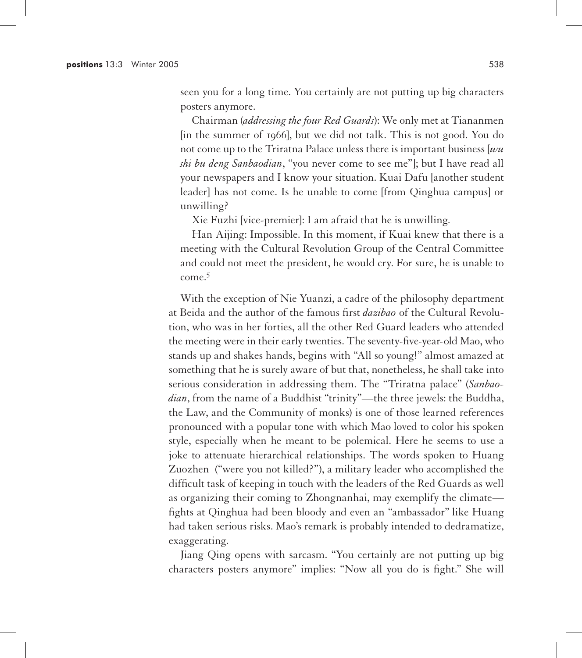seen you for a long time. You certainly are not putting up big characters posters anymore.

Chairman (*addressing the four Red Guards*): We only met at Tiananmen [in the summer of 1966], but we did not talk. This is not good. You do not come up to the Triratna Palace unless there is important business [*wu shi bu deng Sanbaodian*, "you never come to see me"]; but I have read all your newspapers and I know your situation. Kuai Dafu [another student leader] has not come. Is he unable to come [from Qinghua campus] or unwilling?

Xie Fuzhi [vice-premier]: I am afraid that he is unwilling.

Han Aijing: Impossible. In this moment, if Kuai knew that there is a meeting with the Cultural Revolution Group of the Central Committee and could not meet the president, he would cry. For sure, he is unable to come.<sup>5</sup>

With the exception of Nie Yuanzi, a cadre of the philosophy department at Beida and the author of the famous first *dazibao* of the Cultural Revolution, who was in her forties, all the other Red Guard leaders who attended the meeting were in their early twenties. The seventy-five-year-old Mao, who stands up and shakes hands, begins with "All so young!" almost amazed at something that he is surely aware of but that, nonetheless, he shall take into serious consideration in addressing them. The "Triratna palace" (*Sanbaodian*, from the name of a Buddhist "trinity"—the three jewels: the Buddha, the Law, and the Community of monks) is one of those learned references pronounced with a popular tone with which Mao loved to color his spoken style, especially when he meant to be polemical. Here he seems to use a joke to attenuate hierarchical relationships. The words spoken to Huang Zuozhen ("were you not killed?"), a military leader who accomplished the difficult task of keeping in touch with the leaders of the Red Guards as well as organizing their coming to Zhongnanhai, may exemplify the climate fights at Qinghua had been bloody and even an "ambassador" like Huang had taken serious risks. Mao's remark is probably intended to dedramatize, exaggerating.

Jiang Qing opens with sarcasm. "You certainly are not putting up big characters posters anymore" implies: "Now all you do is fight." She will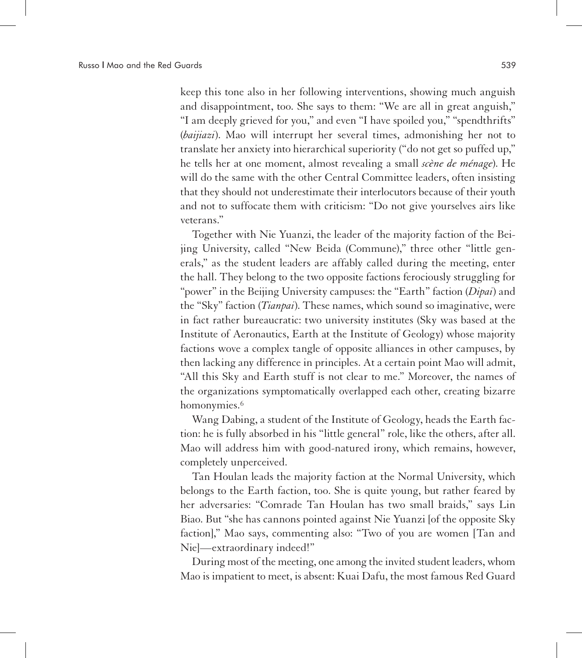keep this tone also in her following interventions, showing much anguish and disappointment, too. She says to them: "We are all in great anguish," "I am deeply grieved for you," and even "I have spoiled you," "spendthrifts" (*baijiazi*). Mao will interrupt her several times, admonishing her not to translate her anxiety into hierarchical superiority ("do not get so puffed up," he tells her at one moment, almost revealing a small *scène de ménage*). He will do the same with the other Central Committee leaders, often insisting that they should not underestimate their interlocutors because of their youth and not to suffocate them with criticism: "Do not give yourselves airs like veterans."

Together with Nie Yuanzi, the leader of the majority faction of the Beijing University, called "New Beida (Commune)," three other "little generals," as the student leaders are affably called during the meeting, enter the hall. They belong to the two opposite factions ferociously struggling for "power" in the Beijing University campuses: the "Earth" faction (*Dipai*) and the "Sky" faction (*Tianpai*). These names, which sound so imaginative, were in fact rather bureaucratic: two university institutes (Sky was based at the Institute of Aeronautics, Earth at the Institute of Geology) whose majority factions wove a complex tangle of opposite alliances in other campuses, by then lacking any difference in principles. At a certain point Mao will admit, "All this Sky and Earth stuff is not clear to me." Moreover, the names of the organizations symptomatically overlapped each other, creating bizarre homonymies.<sup>6</sup>

Wang Dabing, a student of the Institute of Geology, heads the Earth faction: he is fully absorbed in his "little general" role, like the others, after all. Mao will address him with good-natured irony, which remains, however, completely unperceived.

Tan Houlan leads the majority faction at the Normal University, which belongs to the Earth faction, too. She is quite young, but rather feared by her adversaries: "Comrade Tan Houlan has two small braids," says Lin Biao. But "she has cannons pointed against Nie Yuanzi [of the opposite Sky faction]," Mao says, commenting also: "Two of you are women [Tan and Nie]—extraordinary indeed!"

During most of the meeting, one among the invited student leaders, whom Mao is impatient to meet, is absent: Kuai Dafu, the most famous Red Guard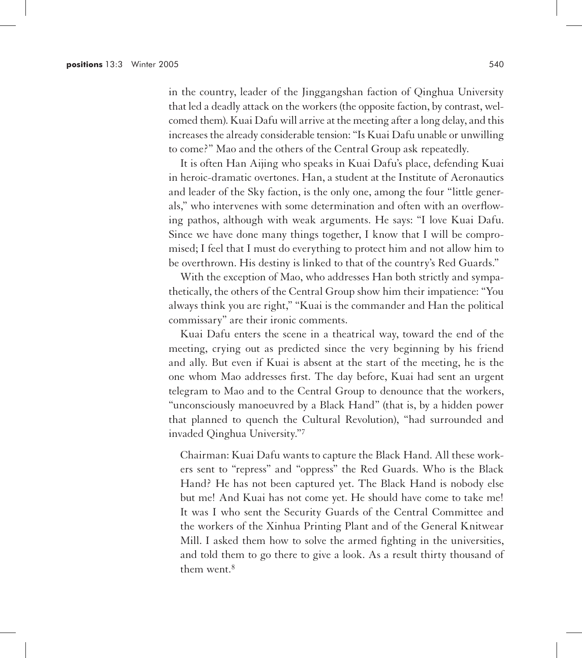in the country, leader of the Jinggangshan faction of Qinghua University that led a deadly attack on the workers (the opposite faction, by contrast, welcomed them). Kuai Dafu will arrive at the meeting after a long delay, and this increases the already considerable tension: "Is Kuai Dafu unable or unwilling to come?" Mao and the others of the Central Group ask repeatedly.

It is often Han Aijing who speaks in Kuai Dafu's place, defending Kuai in heroic-dramatic overtones. Han, a student at the Institute of Aeronautics and leader of the Sky faction, is the only one, among the four "little generals," who intervenes with some determination and often with an overflowing pathos, although with weak arguments. He says: "I love Kuai Dafu. Since we have done many things together, I know that I will be compromised; I feel that I must do everything to protect him and not allow him to be overthrown. His destiny is linked to that of the country's Red Guards."

With the exception of Mao, who addresses Han both strictly and sympathetically, the others of the Central Group show him their impatience: "You always think you are right," "Kuai is the commander and Han the political commissary" are their ironic comments.

Kuai Dafu enters the scene in a theatrical way, toward the end of the meeting, crying out as predicted since the very beginning by his friend and ally. But even if Kuai is absent at the start of the meeting, he is the one whom Mao addresses first. The day before, Kuai had sent an urgent telegram to Mao and to the Central Group to denounce that the workers, "unconsciously manoeuvred by a Black Hand" (that is, by a hidden power that planned to quench the Cultural Revolution), "had surrounded and invaded Qinghua University."<sup>7</sup>

Chairman: Kuai Dafu wants to capture the Black Hand. All these workers sent to "repress" and "oppress" the Red Guards. Who is the Black Hand? He has not been captured yet. The Black Hand is nobody else but me! And Kuai has not come yet. He should have come to take me! It was I who sent the Security Guards of the Central Committee and the workers of the Xinhua Printing Plant and of the General Knitwear Mill. I asked them how to solve the armed fighting in the universities, and told them to go there to give a look. As a result thirty thousand of them went.<sup>8</sup>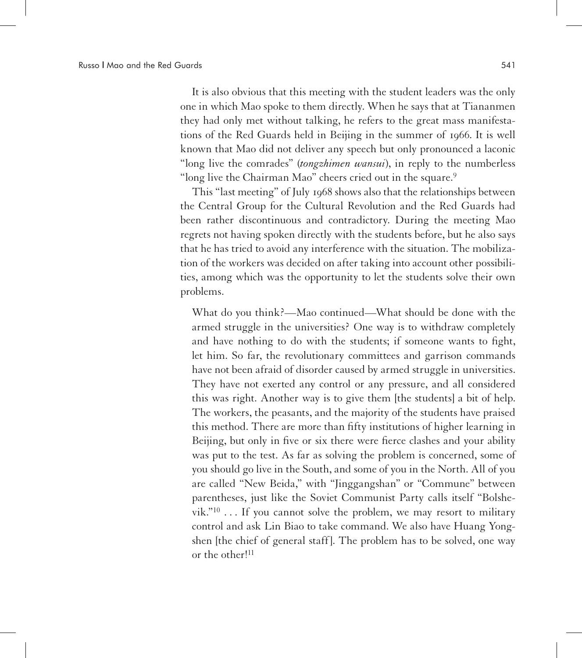It is also obvious that this meeting with the student leaders was the only one in which Mao spoke to them directly. When he says that at Tiananmen they had only met without talking, he refers to the great mass manifestations of the Red Guards held in Beijing in the summer of 1966. It is well known that Mao did not deliver any speech but only pronounced a laconic "long live the comrades" (*tongzhimen wansui*), in reply to the numberless "long live the Chairman Mao" cheers cried out in the square.<sup>9</sup>

This "last meeting" of July 1968 shows also that the relationships between the Central Group for the Cultural Revolution and the Red Guards had been rather discontinuous and contradictory. During the meeting Mao regrets not having spoken directly with the students before, but he also says that he has tried to avoid any interference with the situation. The mobilization of the workers was decided on after taking into account other possibilities, among which was the opportunity to let the students solve their own problems.

What do you think?—Mao continued—What should be done with the armed struggle in the universities? One way is to withdraw completely and have nothing to do with the students; if someone wants to fight, let him. So far, the revolutionary committees and garrison commands have not been afraid of disorder caused by armed struggle in universities. They have not exerted any control or any pressure, and all considered this was right. Another way is to give them [the students] a bit of help. The workers, the peasants, and the majority of the students have praised this method. There are more than fifty institutions of higher learning in Beijing, but only in five or six there were fierce clashes and your ability was put to the test. As far as solving the problem is concerned, some of you should go live in the South, and some of you in the North. All of you are called "New Beida," with "Jinggangshan" or "Commune" between parentheses, just like the Soviet Communist Party calls itself "Bolshevik." $10$ ... If you cannot solve the problem, we may resort to military control and ask Lin Biao to take command. We also have Huang Yongshen [the chief of general staff]. The problem has to be solved, one way or the other!<sup>11</sup>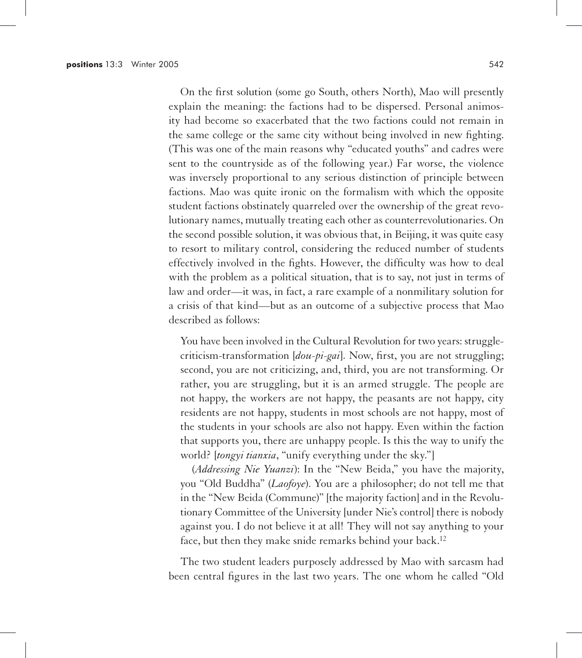On the first solution (some go South, others North), Mao will presently explain the meaning: the factions had to be dispersed. Personal animosity had become so exacerbated that the two factions could not remain in the same college or the same city without being involved in new fighting. (This was one of the main reasons why "educated youths" and cadres were sent to the countryside as of the following year.) Far worse, the violence was inversely proportional to any serious distinction of principle between factions. Mao was quite ironic on the formalism with which the opposite student factions obstinately quarreled over the ownership of the great revolutionary names, mutually treating each other as counterrevolutionaries. On the second possible solution, it was obvious that, in Beijing, it was quite easy to resort to military control, considering the reduced number of students effectively involved in the fights. However, the difficulty was how to deal with the problem as a political situation, that is to say, not just in terms of law and order—it was, in fact, a rare example of a nonmilitary solution for a crisis of that kind—but as an outcome of a subjective process that Mao described as follows:

You have been involved in the Cultural Revolution for two years: strugglecriticism-transformation [*dou-pi-gai*]. Now, first, you are not struggling; second, you are not criticizing, and, third, you are not transforming. Or rather, you are struggling, but it is an armed struggle. The people are not happy, the workers are not happy, the peasants are not happy, city residents are not happy, students in most schools are not happy, most of the students in your schools are also not happy. Even within the faction that supports you, there are unhappy people. Is this the way to unify the world? [*tongyi tianxia*, "unify everything under the sky."]

(*Addressing Nie Yuanzi*): In the "New Beida," you have the majority, you "Old Buddha" (*Laofoye*). You are a philosopher; do not tell me that in the "New Beida (Commune)" [the majority faction] and in the Revolutionary Committee of the University [under Nie's control] there is nobody against you. I do not believe it at all! They will not say anything to your face, but then they make snide remarks behind your back.<sup>12</sup>

The two student leaders purposely addressed by Mao with sarcasm had been central figures in the last two years. The one whom he called "Old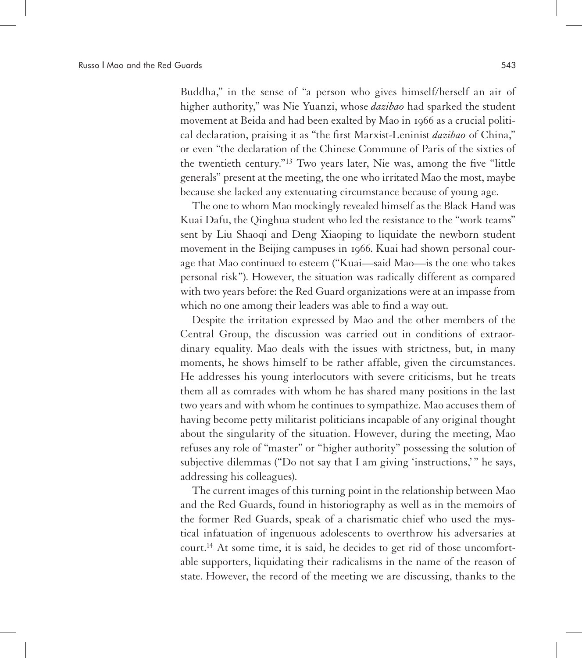Buddha," in the sense of "a person who gives himself/herself an air of higher authority," was Nie Yuanzi, whose *dazibao* had sparked the student movement at Beida and had been exalted by Mao in 1966 as a crucial political declaration, praising it as "the first Marxist-Leninist *dazibao* of China," or even "the declaration of the Chinese Commune of Paris of the sixties of the twentieth century."<sup>13</sup> Two years later, Nie was, among the five "little generals" present at the meeting, the one who irritated Mao the most, maybe because she lacked any extenuating circumstance because of young age.

The one to whom Mao mockingly revealed himself as the Black Hand was Kuai Dafu, the Qinghua student who led the resistance to the "work teams" sent by Liu Shaoqi and Deng Xiaoping to liquidate the newborn student movement in the Beijing campuses in 1966. Kuai had shown personal courage that Mao continued to esteem ("Kuai—said Mao—is the one who takes personal risk"). However, the situation was radically different as compared with two years before: the Red Guard organizations were at an impasse from which no one among their leaders was able to find a way out.

Despite the irritation expressed by Mao and the other members of the Central Group, the discussion was carried out in conditions of extraordinary equality. Mao deals with the issues with strictness, but, in many moments, he shows himself to be rather affable, given the circumstances. He addresses his young interlocutors with severe criticisms, but he treats them all as comrades with whom he has shared many positions in the last two years and with whom he continues to sympathize. Mao accuses them of having become petty militarist politicians incapable of any original thought about the singularity of the situation. However, during the meeting, Mao refuses any role of "master" or "higher authority" possessing the solution of subjective dilemmas ("Do not say that I am giving 'instructions,'" he says, addressing his colleagues).

The current images of this turning point in the relationship between Mao and the Red Guards, found in historiography as well as in the memoirs of the former Red Guards, speak of a charismatic chief who used the mystical infatuation of ingenuous adolescents to overthrow his adversaries at court.14 At some time, it is said, he decides to get rid of those uncomfortable supporters, liquidating their radicalisms in the name of the reason of state. However, the record of the meeting we are discussing, thanks to the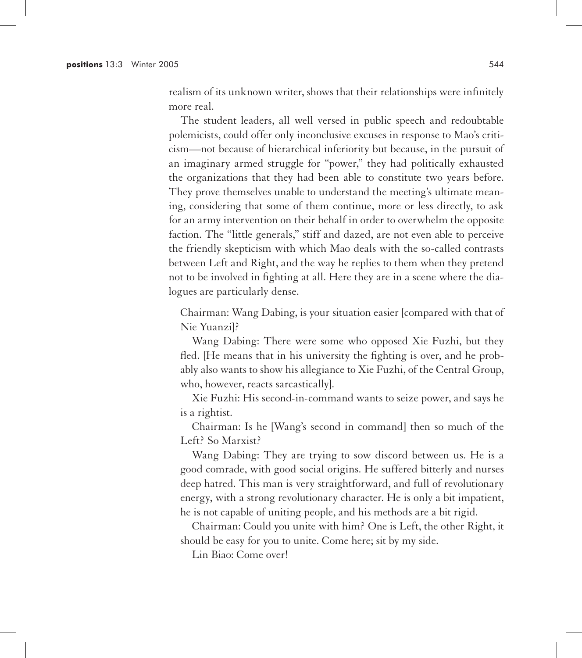realism of its unknown writer, shows that their relationships were infinitely more real.

The student leaders, all well versed in public speech and redoubtable polemicists, could offer only inconclusive excuses in response to Mao's criticism—not because of hierarchical inferiority but because, in the pursuit of an imaginary armed struggle for "power," they had politically exhausted the organizations that they had been able to constitute two years before. They prove themselves unable to understand the meeting's ultimate meaning, considering that some of them continue, more or less directly, to ask for an army intervention on their behalf in order to overwhelm the opposite faction. The "little generals," stiff and dazed, are not even able to perceive the friendly skepticism with which Mao deals with the so-called contrasts between Left and Right, and the way he replies to them when they pretend not to be involved in fighting at all. Here they are in a scene where the dialogues are particularly dense.

Chairman: Wang Dabing, is your situation easier [compared with that of Nie Yuanzi]?

Wang Dabing: There were some who opposed Xie Fuzhi, but they fled. [He means that in his university the fighting is over, and he probably also wants to show his allegiance to Xie Fuzhi, of the Central Group, who, however, reacts sarcastically].

Xie Fuzhi: His second-in-command wants to seize power, and says he is a rightist.

Chairman: Is he [Wang's second in command] then so much of the Left? So Marxist?

Wang Dabing: They are trying to sow discord between us. He is a good comrade, with good social origins. He suffered bitterly and nurses deep hatred. This man is very straightforward, and full of revolutionary energy, with a strong revolutionary character. He is only a bit impatient, he is not capable of uniting people, and his methods are a bit rigid.

Chairman: Could you unite with him? One is Left, the other Right, it should be easy for you to unite. Come here; sit by my side.

Lin Biao: Come over!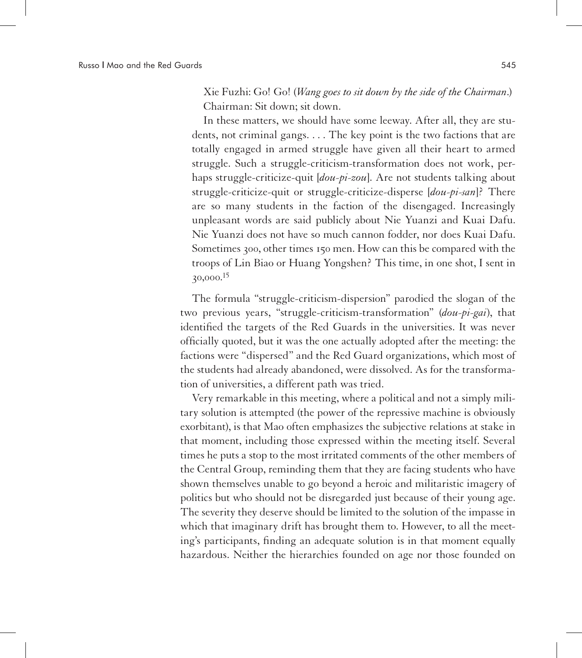Xie Fuzhi: Go! Go! (*Wang goes to sit down by the side of the Chairman*.) Chairman: Sit down; sit down.

In these matters, we should have some leeway. After all, they are students, not criminal gangs. . . . The key point is the two factions that are totally engaged in armed struggle have given all their heart to armed struggle. Such a struggle-criticism-transformation does not work, perhaps struggle-criticize-quit [*dou-pi-zou*]. Are not students talking about struggle-criticize-quit or struggle-criticize-disperse [*dou-pi-san*]? There are so many students in the faction of the disengaged. Increasingly unpleasant words are said publicly about Nie Yuanzi and Kuai Dafu. Nie Yuanzi does not have so much cannon fodder, nor does Kuai Dafu. Sometimes 300, other times 150 men. How can this be compared with the troops of Lin Biao or Huang Yongshen? This time, in one shot, I sent in 30,000.<sup>15</sup>

The formula "struggle-criticism-dispersion" parodied the slogan of the two previous years, "struggle-criticism-transformation" (*dou-pi-gai*), that identified the targets of the Red Guards in the universities. It was never officially quoted, but it was the one actually adopted after the meeting: the factions were "dispersed" and the Red Guard organizations, which most of the students had already abandoned, were dissolved. As for the transformation of universities, a different path was tried.

Very remarkable in this meeting, where a political and not a simply military solution is attempted (the power of the repressive machine is obviously exorbitant), is that Mao often emphasizes the subjective relations at stake in that moment, including those expressed within the meeting itself. Several times he puts a stop to the most irritated comments of the other members of the Central Group, reminding them that they are facing students who have shown themselves unable to go beyond a heroic and militaristic imagery of politics but who should not be disregarded just because of their young age. The severity they deserve should be limited to the solution of the impasse in which that imaginary drift has brought them to. However, to all the meeting's participants, finding an adequate solution is in that moment equally hazardous. Neither the hierarchies founded on age nor those founded on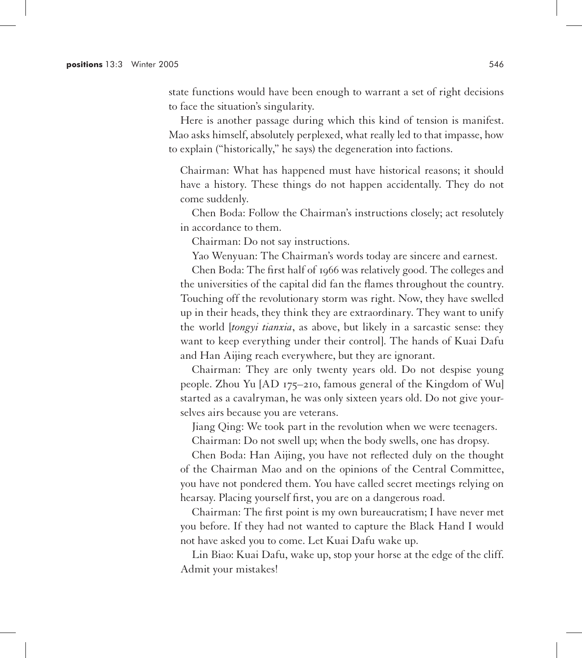state functions would have been enough to warrant a set of right decisions to face the situation's singularity.

Here is another passage during which this kind of tension is manifest. Mao asks himself, absolutely perplexed, what really led to that impasse, how to explain ("historically," he says) the degeneration into factions.

Chairman: What has happened must have historical reasons; it should have a history. These things do not happen accidentally. They do not come suddenly.

Chen Boda: Follow the Chairman's instructions closely; act resolutely in accordance to them.

Chairman: Do not say instructions.

Yao Wenyuan: The Chairman's words today are sincere and earnest.

Chen Boda: The first half of 1966 was relatively good. The colleges and the universities of the capital did fan the flames throughout the country. Touching off the revolutionary storm was right. Now, they have swelled up in their heads, they think they are extraordinary. They want to unify the world [*tongyi tianxia*, as above, but likely in a sarcastic sense: they want to keep everything under their control]. The hands of Kuai Dafu and Han Aijing reach everywhere, but they are ignorant.

Chairman: They are only twenty years old. Do not despise young people. Zhou Yu [AD 175–210, famous general of the Kingdom of Wu] started as a cavalryman, he was only sixteen years old. Do not give yourselves airs because you are veterans.

Jiang Qing: We took part in the revolution when we were teenagers.

Chairman: Do not swell up; when the body swells, one has dropsy.

Chen Boda: Han Aijing, you have not reflected duly on the thought of the Chairman Mao and on the opinions of the Central Committee, you have not pondered them. You have called secret meetings relying on hearsay. Placing yourself first, you are on a dangerous road.

Chairman: The first point is my own bureaucratism; I have never met you before. If they had not wanted to capture the Black Hand I would not have asked you to come. Let Kuai Dafu wake up.

Lin Biao: Kuai Dafu, wake up, stop your horse at the edge of the cliff. Admit your mistakes!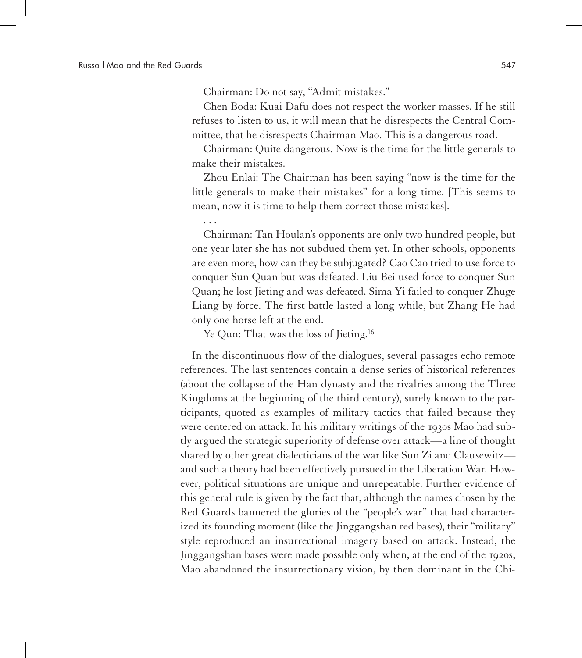Chairman: Do not say, "Admit mistakes."

Chen Boda: Kuai Dafu does not respect the worker masses. If he still refuses to listen to us, it will mean that he disrespects the Central Committee, that he disrespects Chairman Mao. This is a dangerous road.

Chairman: Quite dangerous. Now is the time for the little generals to make their mistakes.

Zhou Enlai: The Chairman has been saying "now is the time for the little generals to make their mistakes" for a long time. [This seems to mean, now it is time to help them correct those mistakes].

. . .

Chairman: Tan Houlan's opponents are only two hundred people, but one year later she has not subdued them yet. In other schools, opponents are even more, how can they be subjugated? Cao Cao tried to use force to conquer Sun Quan but was defeated. Liu Bei used force to conquer Sun Quan; he lost Jieting and was defeated. Sima Yi failed to conquer Zhuge Liang by force. The first battle lasted a long while, but Zhang He had only one horse left at the end.

Ye Qun: That was the loss of Jieting.<sup>16</sup>

In the discontinuous flow of the dialogues, several passages echo remote references. The last sentences contain a dense series of historical references (about the collapse of the Han dynasty and the rivalries among the Three Kingdoms at the beginning of the third century), surely known to the participants, quoted as examples of military tactics that failed because they were centered on attack. In his military writings of the 1930s Mao had subtly argued the strategic superiority of defense over attack—a line of thought shared by other great dialecticians of the war like Sun Zi and Clausewitz and such a theory had been effectively pursued in the Liberation War. However, political situations are unique and unrepeatable. Further evidence of this general rule is given by the fact that, although the names chosen by the Red Guards bannered the glories of the "people's war" that had characterized its founding moment (like the Jinggangshan red bases), their "military" style reproduced an insurrectional imagery based on attack. Instead, the Jinggangshan bases were made possible only when, at the end of the 1920s, Mao abandoned the insurrectionary vision, by then dominant in the Chi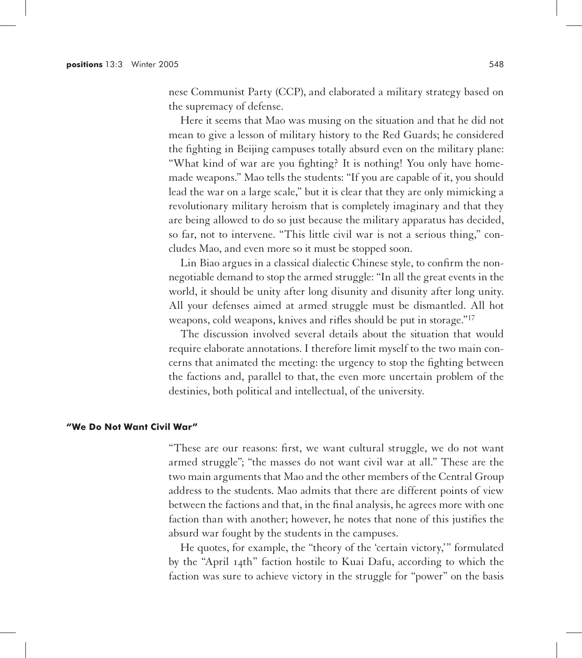nese Communist Party (CCP), and elaborated a military strategy based on the supremacy of defense.

Here it seems that Mao was musing on the situation and that he did not mean to give a lesson of military history to the Red Guards; he considered the fighting in Beijing campuses totally absurd even on the military plane: "What kind of war are you fighting? It is nothing! You only have homemade weapons." Mao tells the students: "If you are capable of it, you should lead the war on a large scale," but it is clear that they are only mimicking a revolutionary military heroism that is completely imaginary and that they are being allowed to do so just because the military apparatus has decided, so far, not to intervene. "This little civil war is not a serious thing," concludes Mao, and even more so it must be stopped soon.

Lin Biao argues in a classical dialectic Chinese style, to confirm the nonnegotiable demand to stop the armed struggle: "In all the great events in the world, it should be unity after long disunity and disunity after long unity. All your defenses aimed at armed struggle must be dismantled. All hot weapons, cold weapons, knives and rifles should be put in storage."<sup>17</sup>

The discussion involved several details about the situation that would require elaborate annotations. I therefore limit myself to the two main concerns that animated the meeting: the urgency to stop the fighting between the factions and, parallel to that, the even more uncertain problem of the destinies, both political and intellectual, of the university.

#### **"We Do Not Want Civil War"**

"These are our reasons: first, we want cultural struggle, we do not want armed struggle"; "the masses do not want civil war at all." These are the two main arguments that Mao and the other members of the Central Group address to the students. Mao admits that there are different points of view between the factions and that, in the final analysis, he agrees more with one faction than with another; however, he notes that none of this justifies the absurd war fought by the students in the campuses.

He quotes, for example, the "theory of the 'certain victory,'" formulated by the "April 14th" faction hostile to Kuai Dafu, according to which the faction was sure to achieve victory in the struggle for "power" on the basis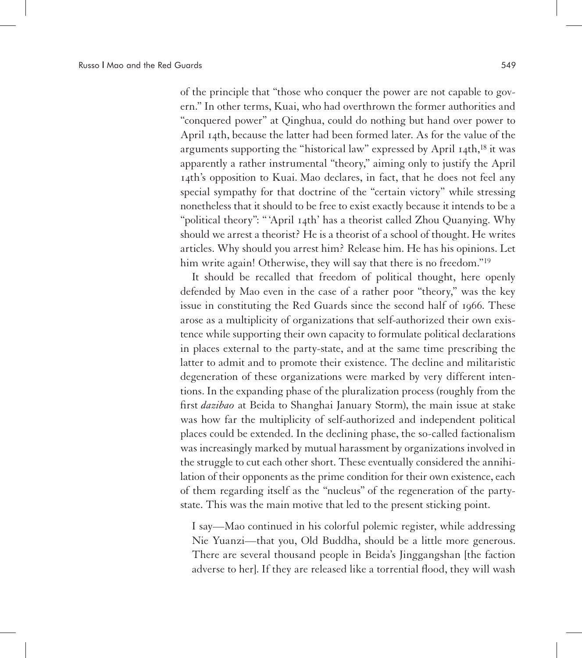of the principle that "those who conquer the power are not capable to govern." In other terms, Kuai, who had overthrown the former authorities and "conquered power" at Qinghua, could do nothing but hand over power to April 14th, because the latter had been formed later. As for the value of the arguments supporting the "historical law" expressed by April 14th,<sup>18</sup> it was apparently a rather instrumental "theory," aiming only to justify the April 14th's opposition to Kuai. Mao declares, in fact, that he does not feel any special sympathy for that doctrine of the "certain victory" while stressing nonetheless that it should to be free to exist exactly because it intends to be a "political theory": " 'April 14th' has a theorist called Zhou Quanying. Why should we arrest a theorist? He is a theorist of a school of thought. He writes articles. Why should you arrest him? Release him. He has his opinions. Let him write again! Otherwise, they will say that there is no freedom."<sup>19</sup>

It should be recalled that freedom of political thought, here openly defended by Mao even in the case of a rather poor "theory," was the key issue in constituting the Red Guards since the second half of 1966. These arose as a multiplicity of organizations that self-authorized their own existence while supporting their own capacity to formulate political declarations in places external to the party-state, and at the same time prescribing the latter to admit and to promote their existence. The decline and militaristic degeneration of these organizations were marked by very different intentions. In the expanding phase of the pluralization process (roughly from the first *dazibao* at Beida to Shanghai January Storm), the main issue at stake was how far the multiplicity of self-authorized and independent political places could be extended. In the declining phase, the so-called factionalism was increasingly marked by mutual harassment by organizations involved in the struggle to cut each other short. These eventually considered the annihilation of their opponents as the prime condition for their own existence, each of them regarding itself as the "nucleus" of the regeneration of the partystate. This was the main motive that led to the present sticking point.

I say—Mao continued in his colorful polemic register, while addressing Nie Yuanzi—that you, Old Buddha, should be a little more generous. There are several thousand people in Beida's Jinggangshan [the faction adverse to her]. If they are released like a torrential flood, they will wash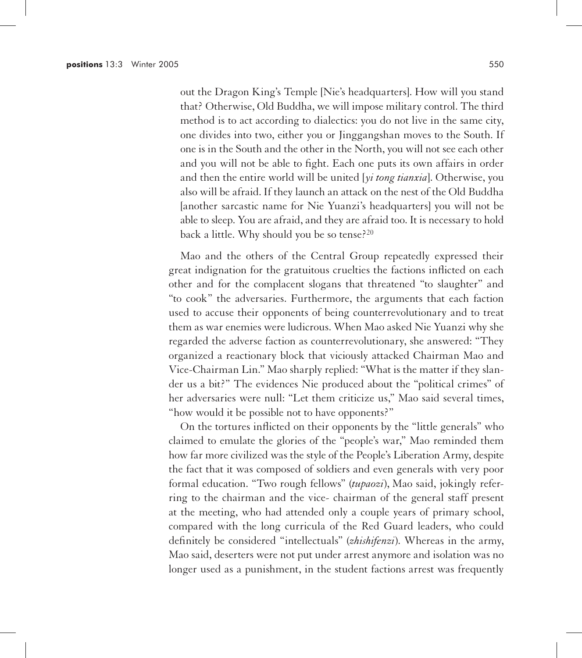out the Dragon King's Temple [Nie's headquarters]. How will you stand that? Otherwise, Old Buddha, we will impose military control. The third method is to act according to dialectics: you do not live in the same city, one divides into two, either you or Jinggangshan moves to the South. If one is in the South and the other in the North, you will not see each other and you will not be able to fight. Each one puts its own affairs in order and then the entire world will be united [*yi tong tianxia*]. Otherwise, you also will be afraid. If they launch an attack on the nest of the Old Buddha [another sarcastic name for Nie Yuanzi's headquarters] you will not be able to sleep. You are afraid, and they are afraid too. It is necessary to hold back a little. Why should you be so tense?<sup>20</sup>

Mao and the others of the Central Group repeatedly expressed their great indignation for the gratuitous cruelties the factions inflicted on each other and for the complacent slogans that threatened "to slaughter" and "to cook" the adversaries. Furthermore, the arguments that each faction used to accuse their opponents of being counterrevolutionary and to treat them as war enemies were ludicrous. When Mao asked Nie Yuanzi why she regarded the adverse faction as counterrevolutionary, she answered: "They organized a reactionary block that viciously attacked Chairman Mao and Vice-Chairman Lin." Mao sharply replied: "What is the matter if they slander us a bit?" The evidences Nie produced about the "political crimes" of her adversaries were null: "Let them criticize us," Mao said several times, "how would it be possible not to have opponents?"

On the tortures inflicted on their opponents by the "little generals" who claimed to emulate the glories of the "people's war," Mao reminded them how far more civilized was the style of the People's Liberation Army, despite the fact that it was composed of soldiers and even generals with very poor formal education. "Two rough fellows" (*tupaozi*), Mao said, jokingly referring to the chairman and the vice- chairman of the general staff present at the meeting, who had attended only a couple years of primary school, compared with the long curricula of the Red Guard leaders, who could definitely be considered "intellectuals" (*zhishifenzi*). Whereas in the army, Mao said, deserters were not put under arrest anymore and isolation was no longer used as a punishment, in the student factions arrest was frequently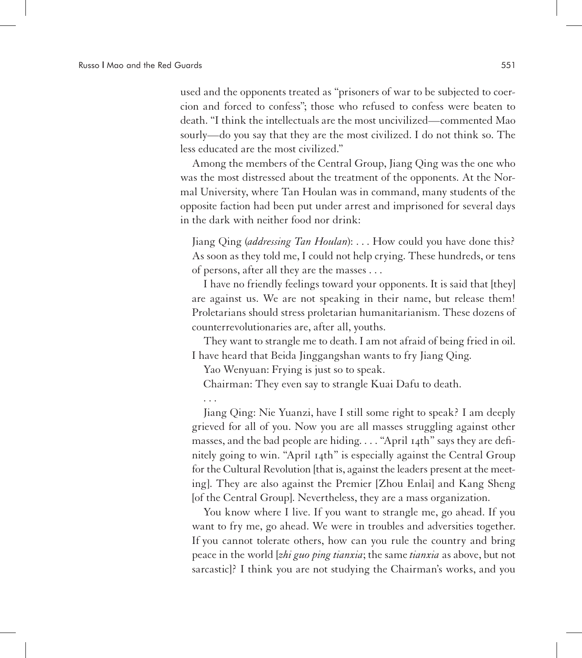used and the opponents treated as "prisoners of war to be subjected to coercion and forced to confess"; those who refused to confess were beaten to death. "I think the intellectuals are the most uncivilized—commented Mao sourly—do you say that they are the most civilized. I do not think so. The less educated are the most civilized."

Among the members of the Central Group, Jiang Qing was the one who was the most distressed about the treatment of the opponents. At the Normal University, where Tan Houlan was in command, many students of the opposite faction had been put under arrest and imprisoned for several days in the dark with neither food nor drink:

Jiang Qing (*addressing Tan Houlan*): . . . How could you have done this? As soon as they told me, I could not help crying. These hundreds, or tens of persons, after all they are the masses . . .

I have no friendly feelings toward your opponents. It is said that [they] are against us. We are not speaking in their name, but release them! Proletarians should stress proletarian humanitarianism. These dozens of counterrevolutionaries are, after all, youths.

They want to strangle me to death. I am not afraid of being fried in oil. I have heard that Beida Jinggangshan wants to fry Jiang Qing.

Yao Wenyuan: Frying is just so to speak.

Chairman: They even say to strangle Kuai Dafu to death.

. . .

Jiang Qing: Nie Yuanzi, have I still some right to speak? I am deeply grieved for all of you. Now you are all masses struggling against other masses, and the bad people are hiding. . . . "April 14th" says they are definitely going to win. "April 14th" is especially against the Central Group for the Cultural Revolution [that is, against the leaders present at the meeting]. They are also against the Premier [Zhou Enlai] and Kang Sheng [of the Central Group]. Nevertheless, they are a mass organization.

You know where I live. If you want to strangle me, go ahead. If you want to fry me, go ahead. We were in troubles and adversities together. If you cannot tolerate others, how can you rule the country and bring peace in the world [*zhi guo ping tianxia*; the same *tianxia* as above, but not sarcastic]? I think you are not studying the Chairman's works, and you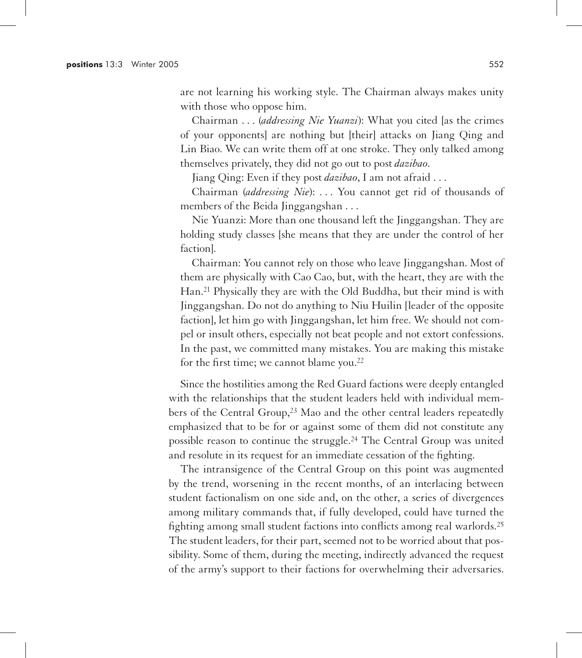are not learning his working style. The Chairman always makes unity with those who oppose him.

Chairman . . . (*addressing Nie Yuanzi*): What you cited [as the crimes of your opponents] are nothing but [their] attacks on Jiang Qing and Lin Biao. We can write them off at one stroke. They only talked among themselves privately, they did not go out to post *dazibao*.

Jiang Qing: Even if they post *dazibao*, I am not afraid . . .

Chairman (*addressing Nie*): . . . You cannot get rid of thousands of members of the Beida Jinggangshan . . .

Nie Yuanzi: More than one thousand left the Jinggangshan. They are holding study classes [she means that they are under the control of her faction].

Chairman: You cannot rely on those who leave Jinggangshan. Most of them are physically with Cao Cao, but, with the heart, they are with the Han.<sup>21</sup> Physically they are with the Old Buddha, but their mind is with Jinggangshan. Do not do anything to Niu Huilin [leader of the opposite faction], let him go with Jinggangshan, let him free. We should not compel or insult others, especially not beat people and not extort confessions. In the past, we committed many mistakes. You are making this mistake for the first time; we cannot blame you.<sup>22</sup>

Since the hostilities among the Red Guard factions were deeply entangled with the relationships that the student leaders held with individual members of the Central Group,<sup>23</sup> Mao and the other central leaders repeatedly emphasized that to be for or against some of them did not constitute any possible reason to continue the struggle.<sup>24</sup> The Central Group was united and resolute in its request for an immediate cessation of the fighting.

The intransigence of the Central Group on this point was augmented by the trend, worsening in the recent months, of an interlacing between student factionalism on one side and, on the other, a series of divergences among military commands that, if fully developed, could have turned the fighting among small student factions into conflicts among real warlords.<sup>25</sup> The student leaders, for their part, seemed not to be worried about that possibility. Some of them, during the meeting, indirectly advanced the request of the army's support to their factions for overwhelming their adversaries.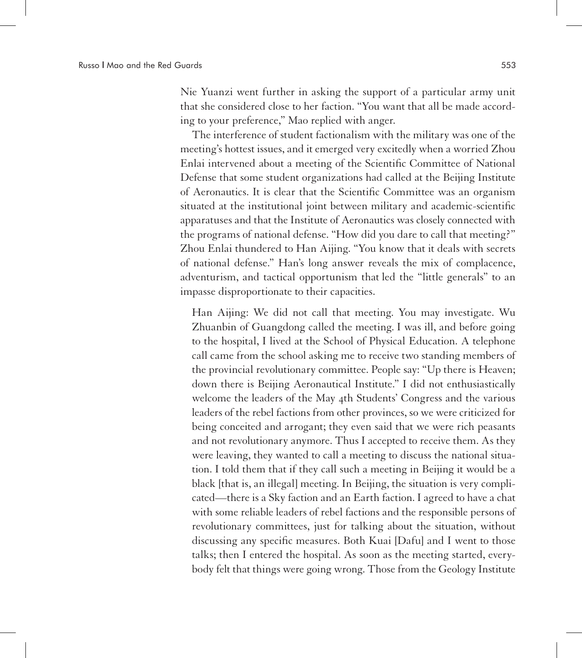Nie Yuanzi went further in asking the support of a particular army unit that she considered close to her faction. "You want that all be made according to your preference," Mao replied with anger.

The interference of student factionalism with the military was one of the meeting's hottest issues, and it emerged very excitedly when a worried Zhou Enlai intervened about a meeting of the Scientific Committee of National Defense that some student organizations had called at the Beijing Institute of Aeronautics. It is clear that the Scientific Committee was an organism situated at the institutional joint between military and academic-scientific apparatuses and that the Institute of Aeronautics was closely connected with the programs of national defense. "How did you dare to call that meeting?" Zhou Enlai thundered to Han Aijing. "You know that it deals with secrets of national defense." Han's long answer reveals the mix of complacence, adventurism, and tactical opportunism that led the "little generals" to an impasse disproportionate to their capacities.

Han Aijing: We did not call that meeting. You may investigate. Wu Zhuanbin of Guangdong called the meeting. I was ill, and before going to the hospital, I lived at the School of Physical Education. A telephone call came from the school asking me to receive two standing members of the provincial revolutionary committee. People say: "Up there is Heaven; down there is Beijing Aeronautical Institute." I did not enthusiastically welcome the leaders of the May 4th Students' Congress and the various leaders of the rebel factions from other provinces, so we were criticized for being conceited and arrogant; they even said that we were rich peasants and not revolutionary anymore. Thus I accepted to receive them. As they were leaving, they wanted to call a meeting to discuss the national situation. I told them that if they call such a meeting in Beijing it would be a black [that is, an illegal] meeting. In Beijing, the situation is very complicated—there is a Sky faction and an Earth faction. I agreed to have a chat with some reliable leaders of rebel factions and the responsible persons of revolutionary committees, just for talking about the situation, without discussing any specific measures. Both Kuai [Dafu] and I went to those talks; then I entered the hospital. As soon as the meeting started, everybody felt that things were going wrong. Those from the Geology Institute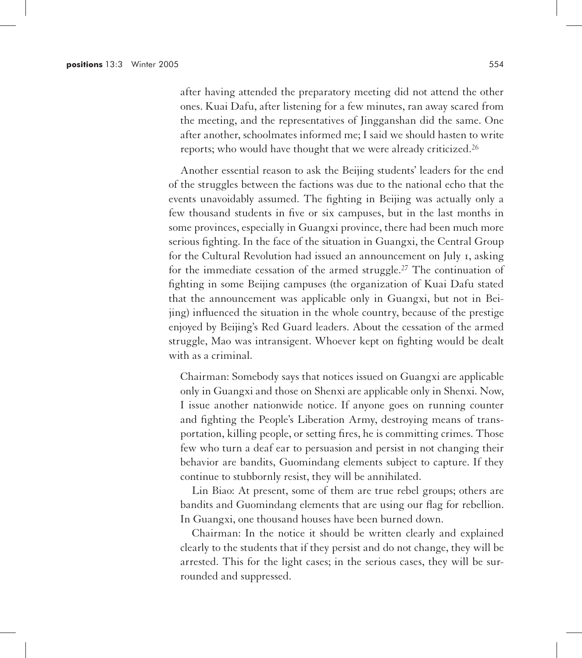after having attended the preparatory meeting did not attend the other ones. Kuai Dafu, after listening for a few minutes, ran away scared from the meeting, and the representatives of Jingganshan did the same. One after another, schoolmates informed me; I said we should hasten to write reports; who would have thought that we were already criticized.<sup>26</sup>

Another essential reason to ask the Beijing students' leaders for the end of the struggles between the factions was due to the national echo that the events unavoidably assumed. The fighting in Beijing was actually only a few thousand students in five or six campuses, but in the last months in some provinces, especially in Guangxi province, there had been much more serious fighting. In the face of the situation in Guangxi, the Central Group for the Cultural Revolution had issued an announcement on July 1, asking for the immediate cessation of the armed struggle.<sup>27</sup> The continuation of fighting in some Beijing campuses (the organization of Kuai Dafu stated that the announcement was applicable only in Guangxi, but not in Beijing) influenced the situation in the whole country, because of the prestige enjoyed by Beijing's Red Guard leaders. About the cessation of the armed struggle, Mao was intransigent. Whoever kept on fighting would be dealt with as a criminal.

Chairman: Somebody says that notices issued on Guangxi are applicable only in Guangxi and those on Shenxi are applicable only in Shenxi. Now, I issue another nationwide notice. If anyone goes on running counter and fighting the People's Liberation Army, destroying means of transportation, killing people, or setting fires, he is committing crimes. Those few who turn a deaf ear to persuasion and persist in not changing their behavior are bandits, Guomindang elements subject to capture. If they continue to stubbornly resist, they will be annihilated.

Lin Biao: At present, some of them are true rebel groups; others are bandits and Guomindang elements that are using our flag for rebellion. In Guangxi, one thousand houses have been burned down.

Chairman: In the notice it should be written clearly and explained clearly to the students that if they persist and do not change, they will be arrested. This for the light cases; in the serious cases, they will be surrounded and suppressed.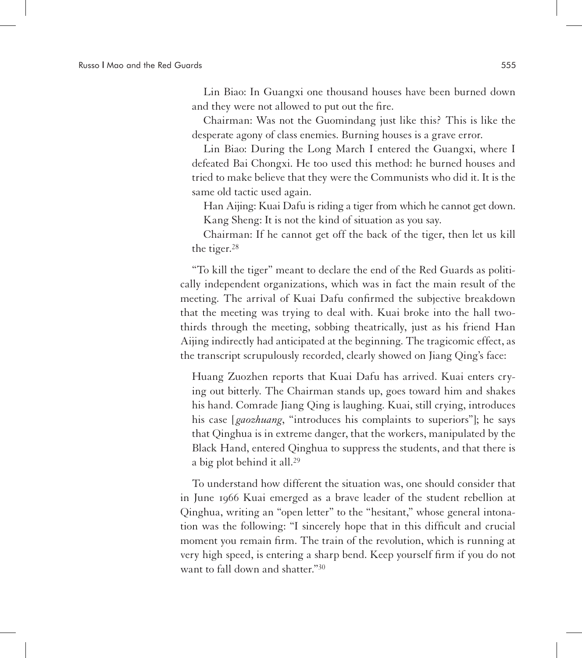Lin Biao: In Guangxi one thousand houses have been burned down and they were not allowed to put out the fire.

Chairman: Was not the Guomindang just like this? This is like the desperate agony of class enemies. Burning houses is a grave error.

Lin Biao: During the Long March I entered the Guangxi, where I defeated Bai Chongxi. He too used this method: he burned houses and tried to make believe that they were the Communists who did it. It is the same old tactic used again.

Han Aijing: Kuai Dafu is riding a tiger from which he cannot get down. Kang Sheng: It is not the kind of situation as you say.

Chairman: If he cannot get off the back of the tiger, then let us kill the tiger.<sup>28</sup>

"To kill the tiger" meant to declare the end of the Red Guards as politically independent organizations, which was in fact the main result of the meeting. The arrival of Kuai Dafu confirmed the subjective breakdown that the meeting was trying to deal with. Kuai broke into the hall twothirds through the meeting, sobbing theatrically, just as his friend Han Aijing indirectly had anticipated at the beginning. The tragicomic effect, as the transcript scrupulously recorded, clearly showed on Jiang Qing's face:

Huang Zuozhen reports that Kuai Dafu has arrived. Kuai enters crying out bitterly. The Chairman stands up, goes toward him and shakes his hand. Comrade Jiang Qing is laughing. Kuai, still crying, introduces his case [ *gaozhuang*, "introduces his complaints to superiors"]; he says that Qinghua is in extreme danger, that the workers, manipulated by the Black Hand, entered Qinghua to suppress the students, and that there is a big plot behind it all.<sup>29</sup>

To understand how different the situation was, one should consider that in June 1966 Kuai emerged as a brave leader of the student rebellion at Qinghua, writing an "open letter" to the "hesitant," whose general intonation was the following: "I sincerely hope that in this difficult and crucial moment you remain firm. The train of the revolution, which is running at very high speed, is entering a sharp bend. Keep yourself firm if you do not want to fall down and shatter."30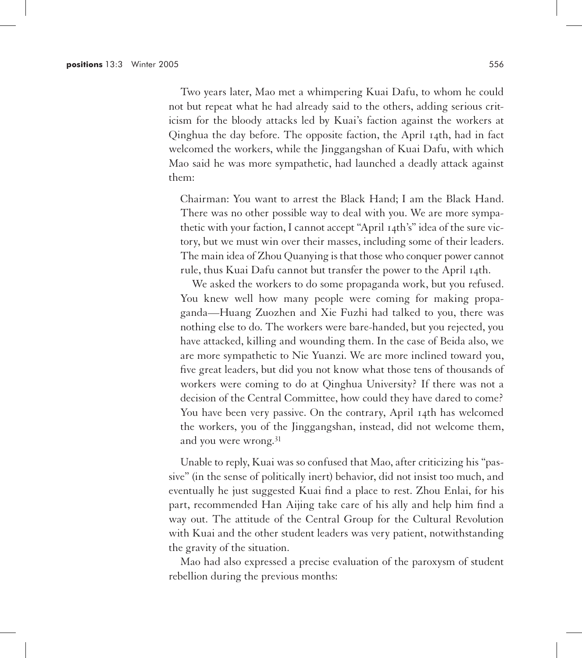Two years later, Mao met a whimpering Kuai Dafu, to whom he could not but repeat what he had already said to the others, adding serious criticism for the bloody attacks led by Kuai's faction against the workers at Qinghua the day before. The opposite faction, the April 14th, had in fact welcomed the workers, while the Jinggangshan of Kuai Dafu, with which Mao said he was more sympathetic, had launched a deadly attack against them:

Chairman: You want to arrest the Black Hand; I am the Black Hand. There was no other possible way to deal with you. We are more sympathetic with your faction, I cannot accept "April 14th's" idea of the sure victory, but we must win over their masses, including some of their leaders. The main idea of Zhou Quanying is that those who conquer power cannot rule, thus Kuai Dafu cannot but transfer the power to the April 14th.

We asked the workers to do some propaganda work, but you refused. You knew well how many people were coming for making propaganda—Huang Zuozhen and Xie Fuzhi had talked to you, there was nothing else to do. The workers were bare-handed, but you rejected, you have attacked, killing and wounding them. In the case of Beida also, we are more sympathetic to Nie Yuanzi. We are more inclined toward you, five great leaders, but did you not know what those tens of thousands of workers were coming to do at Qinghua University? If there was not a decision of the Central Committee, how could they have dared to come? You have been very passive. On the contrary, April 14th has welcomed the workers, you of the Jinggangshan, instead, did not welcome them, and you were wrong.<sup>31</sup>

Unable to reply, Kuai was so confused that Mao, after criticizing his "passive" (in the sense of politically inert) behavior, did not insist too much, and eventually he just suggested Kuai find a place to rest. Zhou Enlai, for his part, recommended Han Aijing take care of his ally and help him find a way out. The attitude of the Central Group for the Cultural Revolution with Kuai and the other student leaders was very patient, notwithstanding the gravity of the situation.

Mao had also expressed a precise evaluation of the paroxysm of student rebellion during the previous months: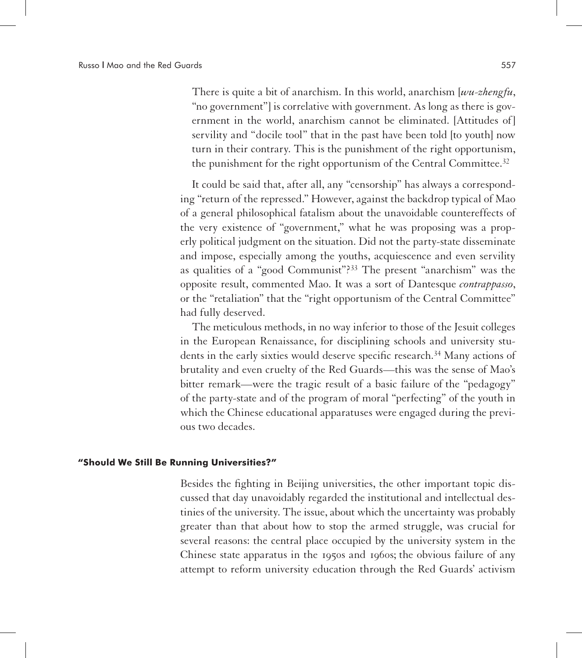There is quite a bit of anarchism. In this world, anarchism [*wu-zhengfu*, "no government"] is correlative with government. As long as there is government in the world, anarchism cannot be eliminated. [Attitudes of] servility and "docile tool" that in the past have been told [to youth] now turn in their contrary. This is the punishment of the right opportunism, the punishment for the right opportunism of the Central Committee.<sup>32</sup>

It could be said that, after all, any "censorship" has always a corresponding "return of the repressed." However, against the backdrop typical of Mao of a general philosophical fatalism about the unavoidable countereffects of the very existence of "government," what he was proposing was a properly political judgment on the situation. Did not the party-state disseminate and impose, especially among the youths, acquiescence and even servility as qualities of a "good Communist"?<sup>33</sup> The present "anarchism" was the opposite result, commented Mao. It was a sort of Dantesque *contrappasso*, or the "retaliation" that the "right opportunism of the Central Committee" had fully deserved.

The meticulous methods, in no way inferior to those of the Jesuit colleges in the European Renaissance, for disciplining schools and university students in the early sixties would deserve specific research.<sup>34</sup> Many actions of brutality and even cruelty of the Red Guards—this was the sense of Mao's bitter remark—were the tragic result of a basic failure of the "pedagogy" of the party-state and of the program of moral "perfecting" of the youth in which the Chinese educational apparatuses were engaged during the previous two decades.

#### **"Should We Still Be Running Universities?"**

Besides the fighting in Beijing universities, the other important topic discussed that day unavoidably regarded the institutional and intellectual destinies of the university. The issue, about which the uncertainty was probably greater than that about how to stop the armed struggle, was crucial for several reasons: the central place occupied by the university system in the Chinese state apparatus in the 1950s and 1960s; the obvious failure of any attempt to reform university education through the Red Guards' activism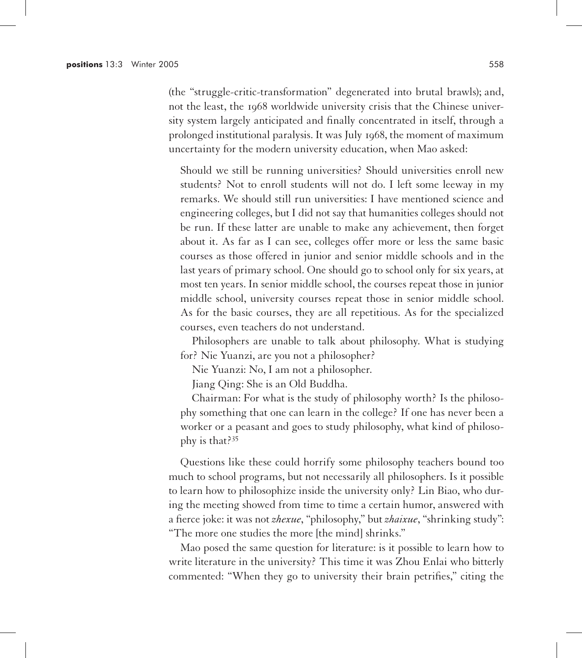(the "struggle-critic-transformation" degenerated into brutal brawls); and, not the least, the 1968 worldwide university crisis that the Chinese university system largely anticipated and finally concentrated in itself, through a prolonged institutional paralysis. It was July 1968, the moment of maximum uncertainty for the modern university education, when Mao asked:

Should we still be running universities? Should universities enroll new students? Not to enroll students will not do. I left some leeway in my remarks. We should still run universities: I have mentioned science and engineering colleges, but I did not say that humanities colleges should not be run. If these latter are unable to make any achievement, then forget about it. As far as I can see, colleges offer more or less the same basic courses as those offered in junior and senior middle schools and in the last years of primary school. One should go to school only for six years, at most ten years. In senior middle school, the courses repeat those in junior middle school, university courses repeat those in senior middle school. As for the basic courses, they are all repetitious. As for the specialized courses, even teachers do not understand.

Philosophers are unable to talk about philosophy. What is studying for? Nie Yuanzi, are you not a philosopher?

Nie Yuanzi: No, I am not a philosopher.

Jiang Qing: She is an Old Buddha.

Chairman: For what is the study of philosophy worth? Is the philosophy something that one can learn in the college? If one has never been a worker or a peasant and goes to study philosophy, what kind of philosophy is that?<sup>35</sup>

Questions like these could horrify some philosophy teachers bound too much to school programs, but not necessarily all philosophers. Is it possible to learn how to philosophize inside the university only? Lin Biao, who during the meeting showed from time to time a certain humor, answered with a fierce joke: it was not *zhexue*, "philosophy," but *zhaixue*, "shrinking study": "The more one studies the more [the mind] shrinks."

Mao posed the same question for literature: is it possible to learn how to write literature in the university? This time it was Zhou Enlai who bitterly commented: "When they go to university their brain petrifies," citing the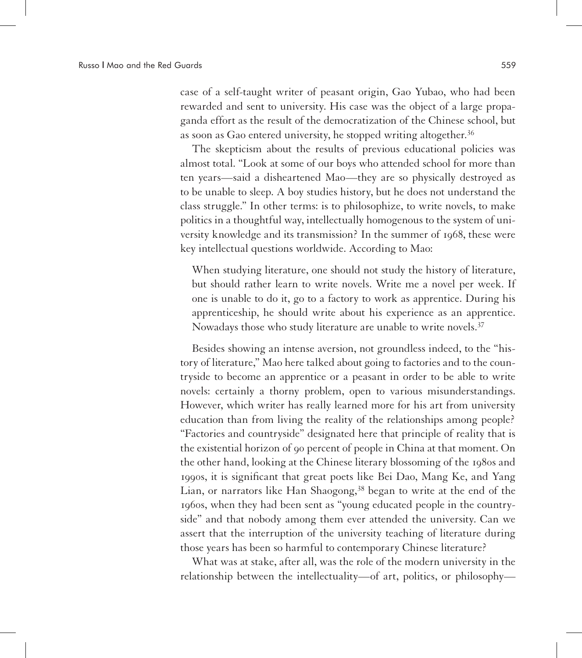case of a self-taught writer of peasant origin, Gao Yubao, who had been rewarded and sent to university. His case was the object of a large propaganda effort as the result of the democratization of the Chinese school, but as soon as Gao entered university, he stopped writing altogether.<sup>36</sup>

The skepticism about the results of previous educational policies was almost total. "Look at some of our boys who attended school for more than ten years—said a disheartened Mao—they are so physically destroyed as to be unable to sleep. A boy studies history, but he does not understand the class struggle." In other terms: is to philosophize, to write novels, to make politics in a thoughtful way, intellectually homogenous to the system of university knowledge and its transmission? In the summer of 1968, these were key intellectual questions worldwide. According to Mao:

When studying literature, one should not study the history of literature, but should rather learn to write novels. Write me a novel per week. If one is unable to do it, go to a factory to work as apprentice. During his apprenticeship, he should write about his experience as an apprentice. Nowadays those who study literature are unable to write novels.<sup>37</sup>

Besides showing an intense aversion, not groundless indeed, to the "history of literature," Mao here talked about going to factories and to the countryside to become an apprentice or a peasant in order to be able to write novels: certainly a thorny problem, open to various misunderstandings. However, which writer has really learned more for his art from university education than from living the reality of the relationships among people? "Factories and countryside" designated here that principle of reality that is the existential horizon of 90 percent of people in China at that moment. On the other hand, looking at the Chinese literary blossoming of the 1980s and 1990s, it is significant that great poets like Bei Dao, Mang Ke, and Yang Lian, or narrators like Han Shaogong,  $38$  began to write at the end of the 1960s, when they had been sent as "young educated people in the countryside" and that nobody among them ever attended the university. Can we assert that the interruption of the university teaching of literature during those years has been so harmful to contemporary Chinese literature?

What was at stake, after all, was the role of the modern university in the relationship between the intellectuality—of art, politics, or philosophy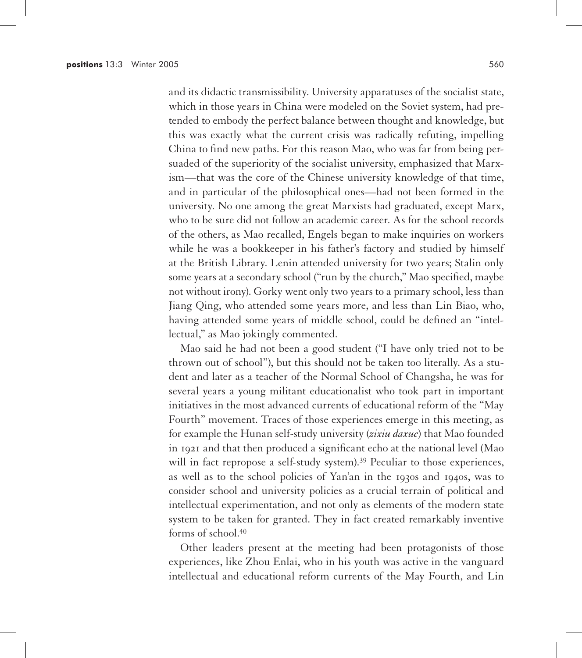and its didactic transmissibility. University apparatuses of the socialist state, which in those years in China were modeled on the Soviet system, had pretended to embody the perfect balance between thought and knowledge, but this was exactly what the current crisis was radically refuting, impelling China to find new paths. For this reason Mao, who was far from being persuaded of the superiority of the socialist university, emphasized that Marxism—that was the core of the Chinese university knowledge of that time, and in particular of the philosophical ones—had not been formed in the university. No one among the great Marxists had graduated, except Marx, who to be sure did not follow an academic career. As for the school records of the others, as Mao recalled, Engels began to make inquiries on workers while he was a bookkeeper in his father's factory and studied by himself at the British Library. Lenin attended university for two years; Stalin only some years at a secondary school ("run by the church," Mao specified, maybe not without irony). Gorky went only two years to a primary school, less than Jiang Qing, who attended some years more, and less than Lin Biao, who, having attended some years of middle school, could be defined an "intellectual," as Mao jokingly commented.

Mao said he had not been a good student ("I have only tried not to be thrown out of school"), but this should not be taken too literally. As a student and later as a teacher of the Normal School of Changsha, he was for several years a young militant educationalist who took part in important initiatives in the most advanced currents of educational reform of the "May Fourth" movement. Traces of those experiences emerge in this meeting, as for example the Hunan self-study university (*zixiu daxue*) that Mao founded in 1921 and that then produced a significant echo at the national level (Mao will in fact repropose a self-study system).<sup>39</sup> Peculiar to those experiences, as well as to the school policies of Yan'an in the 1930s and 1940s, was to consider school and university policies as a crucial terrain of political and intellectual experimentation, and not only as elements of the modern state system to be taken for granted. They in fact created remarkably inventive forms of school.<sup>40</sup>

Other leaders present at the meeting had been protagonists of those experiences, like Zhou Enlai, who in his youth was active in the vanguard intellectual and educational reform currents of the May Fourth, and Lin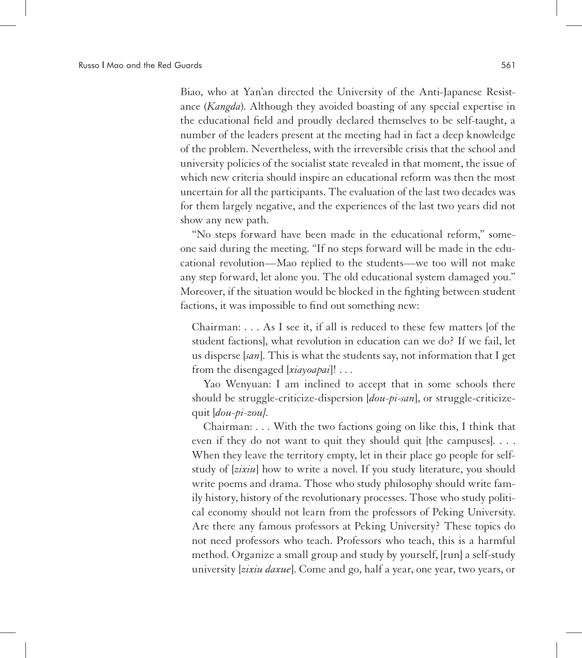Biao, who at Yan'an directed the University of the Anti-Japanese Resistance (*Kangda*). Although they avoided boasting of any special expertise in the educational field and proudly declared themselves to be self-taught, a number of the leaders present at the meeting had in fact a deep knowledge of the problem. Nevertheless, with the irreversible crisis that the school and university policies of the socialist state revealed in that moment, the issue of which new criteria should inspire an educational reform was then the most uncertain for all the participants. The evaluation of the last two decades was for them largely negative, and the experiences of the last two years did not show any new path.

"No steps forward have been made in the educational reform," someone said during the meeting. "If no steps forward will be made in the educational revolution—Mao replied to the students—we too will not make any step forward, let alone you. The old educational system damaged you." Moreover, if the situation would be blocked in the fighting between student factions, it was impossible to find out something new:

Chairman: . . . As I see it, if all is reduced to these few matters [of the student factions], what revolution in education can we do? If we fail, let us disperse [*san*]. This is what the students say, not information that I get from the disengaged [*xiayoapai*]! . . .

Yao Wenyuan: I am inclined to accept that in some schools there should be struggle-criticize-dispersion [*dou-pi-san*], or struggle-criticizequit [*dou-pi-zou]*.

Chairman: . . . With the two factions going on like this, I think that even if they do not want to quit they should quit [the campuses]. . . . When they leave the territory empty, let in their place go people for selfstudy of [*zixiu*] how to write a novel. If you study literature, you should write poems and drama. Those who study philosophy should write family history, history of the revolutionary processes. Those who study political economy should not learn from the professors of Peking University. Are there any famous professors at Peking University? These topics do not need professors who teach. Professors who teach, this is a harmful method. Organize a small group and study by yourself, [run] a self-study university [*zixiu daxue*]. Come and go, half a year, one year, two years, or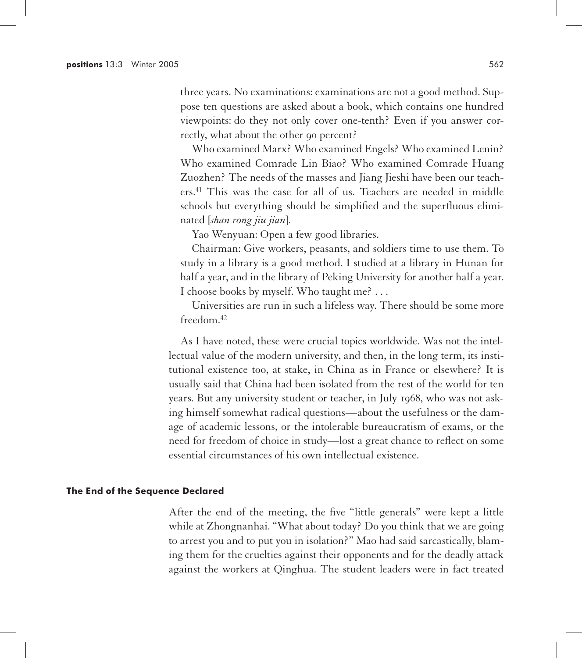three years. No examinations: examinations are not a good method. Suppose ten questions are asked about a book, which contains one hundred viewpoints: do they not only cover one-tenth? Even if you answer correctly, what about the other 90 percent?

Who examined Marx? Who examined Engels? Who examined Lenin? Who examined Comrade Lin Biao? Who examined Comrade Huang Zuozhen? The needs of the masses and Jiang Jieshi have been our teachers.<sup>41</sup> This was the case for all of us. Teachers are needed in middle schools but everything should be simplified and the superfluous eliminated [*shan rong jiu jian*].

Yao Wenyuan: Open a few good libraries.

Chairman: Give workers, peasants, and soldiers time to use them. To study in a library is a good method. I studied at a library in Hunan for half a year, and in the library of Peking University for another half a year. I choose books by myself. Who taught me? . . .

Universities are run in such a lifeless way. There should be some more freedom.<sup>42</sup>

As I have noted, these were crucial topics worldwide. Was not the intellectual value of the modern university, and then, in the long term, its institutional existence too, at stake, in China as in France or elsewhere? It is usually said that China had been isolated from the rest of the world for ten years. But any university student or teacher, in July 1968, who was not asking himself somewhat radical questions—about the usefulness or the damage of academic lessons, or the intolerable bureaucratism of exams, or the need for freedom of choice in study—lost a great chance to reflect on some essential circumstances of his own intellectual existence.

#### **The End of the Sequence Declared**

After the end of the meeting, the five "little generals" were kept a little while at Zhongnanhai. "What about today? Do you think that we are going to arrest you and to put you in isolation?" Mao had said sarcastically, blaming them for the cruelties against their opponents and for the deadly attack against the workers at Qinghua. The student leaders were in fact treated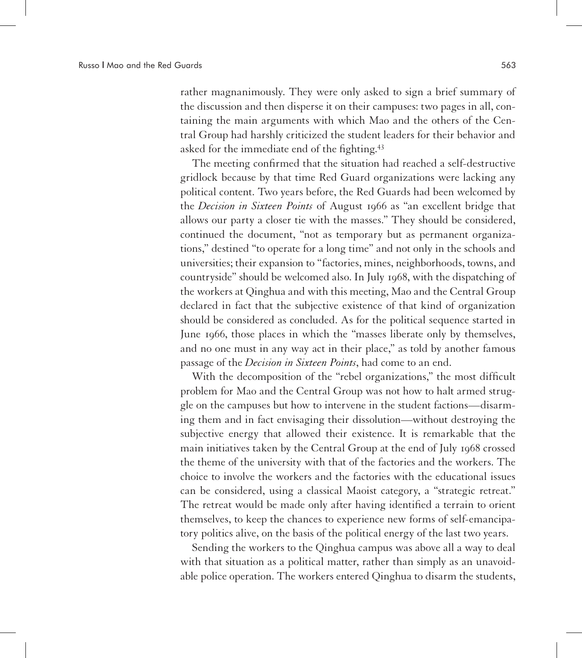rather magnanimously. They were only asked to sign a brief summary of the discussion and then disperse it on their campuses: two pages in all, containing the main arguments with which Mao and the others of the Central Group had harshly criticized the student leaders for their behavior and asked for the immediate end of the fighting.<sup>43</sup>

The meeting confirmed that the situation had reached a self-destructive gridlock because by that time Red Guard organizations were lacking any political content. Two years before, the Red Guards had been welcomed by the *Decision in Sixteen Points* of August 1966 as "an excellent bridge that allows our party a closer tie with the masses." They should be considered, continued the document, "not as temporary but as permanent organizations," destined "to operate for a long time" and not only in the schools and universities; their expansion to "factories, mines, neighborhoods, towns, and countryside" should be welcomed also. In July 1968, with the dispatching of the workers at Qinghua and with this meeting, Mao and the Central Group declared in fact that the subjective existence of that kind of organization should be considered as concluded. As for the political sequence started in June 1966, those places in which the "masses liberate only by themselves, and no one must in any way act in their place," as told by another famous passage of the *Decision in Sixteen Points*, had come to an end.

With the decomposition of the "rebel organizations," the most difficult problem for Mao and the Central Group was not how to halt armed struggle on the campuses but how to intervene in the student factions—disarming them and in fact envisaging their dissolution—without destroying the subjective energy that allowed their existence. It is remarkable that the main initiatives taken by the Central Group at the end of July 1968 crossed the theme of the university with that of the factories and the workers. The choice to involve the workers and the factories with the educational issues can be considered, using a classical Maoist category, a "strategic retreat." The retreat would be made only after having identified a terrain to orient themselves, to keep the chances to experience new forms of self-emancipatory politics alive, on the basis of the political energy of the last two years.

Sending the workers to the Qinghua campus was above all a way to deal with that situation as a political matter, rather than simply as an unavoidable police operation. The workers entered Qinghua to disarm the students,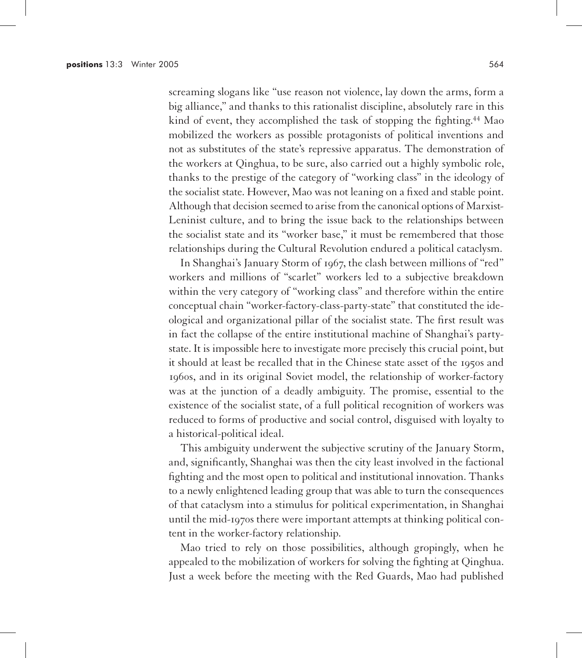screaming slogans like "use reason not violence, lay down the arms, form a big alliance," and thanks to this rationalist discipline, absolutely rare in this kind of event, they accomplished the task of stopping the fighting.<sup>44</sup> Mao mobilized the workers as possible protagonists of political inventions and not as substitutes of the state's repressive apparatus. The demonstration of the workers at Qinghua, to be sure, also carried out a highly symbolic role, thanks to the prestige of the category of "working class" in the ideology of the socialist state. However, Mao was not leaning on a fixed and stable point. Although that decision seemed to arise from the canonical options of Marxist-Leninist culture, and to bring the issue back to the relationships between the socialist state and its "worker base," it must be remembered that those relationships during the Cultural Revolution endured a political cataclysm.

In Shanghai's January Storm of 1967, the clash between millions of "red" workers and millions of "scarlet" workers led to a subjective breakdown within the very category of "working class" and therefore within the entire conceptual chain "worker-factory-class-party-state" that constituted the ideological and organizational pillar of the socialist state. The first result was in fact the collapse of the entire institutional machine of Shanghai's partystate. It is impossible here to investigate more precisely this crucial point, but it should at least be recalled that in the Chinese state asset of the 1950s and 1960s, and in its original Soviet model, the relationship of worker-factory was at the junction of a deadly ambiguity. The promise, essential to the existence of the socialist state, of a full political recognition of workers was reduced to forms of productive and social control, disguised with loyalty to a historical-political ideal.

This ambiguity underwent the subjective scrutiny of the January Storm, and, significantly, Shanghai was then the city least involved in the factional fighting and the most open to political and institutional innovation. Thanks to a newly enlightened leading group that was able to turn the consequences of that cataclysm into a stimulus for political experimentation, in Shanghai until the mid-1970s there were important attempts at thinking political content in the worker-factory relationship.

Mao tried to rely on those possibilities, although gropingly, when he appealed to the mobilization of workers for solving the fighting at Qinghua. Just a week before the meeting with the Red Guards, Mao had published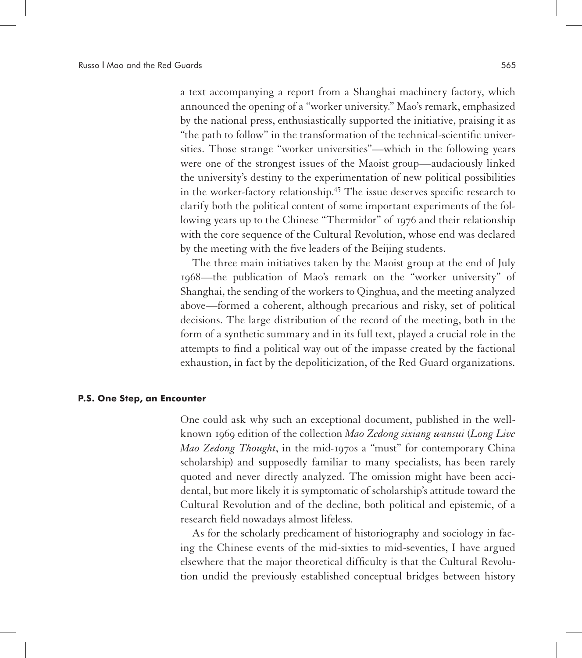a text accompanying a report from a Shanghai machinery factory, which announced the opening of a "worker university." Mao's remark, emphasized by the national press, enthusiastically supported the initiative, praising it as "the path to follow" in the transformation of the technical-scientific universities. Those strange "worker universities"—which in the following years were one of the strongest issues of the Maoist group—audaciously linked the university's destiny to the experimentation of new political possibilities in the worker-factory relationship.<sup>45</sup> The issue deserves specific research to clarify both the political content of some important experiments of the following years up to the Chinese "Thermidor" of 1976 and their relationship with the core sequence of the Cultural Revolution, whose end was declared by the meeting with the five leaders of the Beijing students.

The three main initiatives taken by the Maoist group at the end of July 1968—the publication of Mao's remark on the "worker university" of Shanghai, the sending of the workers to Qinghua, and the meeting analyzed above—formed a coherent, although precarious and risky, set of political decisions. The large distribution of the record of the meeting, both in the form of a synthetic summary and in its full text, played a crucial role in the attempts to find a political way out of the impasse created by the factional exhaustion, in fact by the depoliticization, of the Red Guard organizations.

#### **P.S. One Step, an Encounter**

One could ask why such an exceptional document, published in the wellknown 1969 edition of the collection *Mao Zedong sixiang wansui* (*Long Live Mao Zedong Thought*, in the mid-1970s a "must" for contemporary China scholarship) and supposedly familiar to many specialists, has been rarely quoted and never directly analyzed. The omission might have been accidental, but more likely it is symptomatic of scholarship's attitude toward the Cultural Revolution and of the decline, both political and epistemic, of a research field nowadays almost lifeless.

As for the scholarly predicament of historiography and sociology in facing the Chinese events of the mid-sixties to mid-seventies, I have argued elsewhere that the major theoretical difficulty is that the Cultural Revolution undid the previously established conceptual bridges between history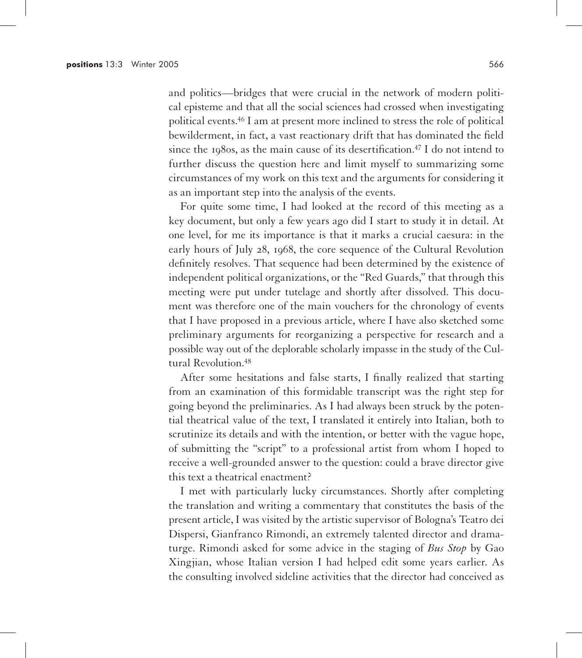and politics—bridges that were crucial in the network of modern political episteme and that all the social sciences had crossed when investigating political events.<sup>46</sup> I am at present more inclined to stress the role of political bewilderment, in fact, a vast reactionary drift that has dominated the field since the 1980s, as the main cause of its desertification.<sup>47</sup> I do not intend to further discuss the question here and limit myself to summarizing some circumstances of my work on this text and the arguments for considering it as an important step into the analysis of the events.

For quite some time, I had looked at the record of this meeting as a key document, but only a few years ago did I start to study it in detail. At one level, for me its importance is that it marks a crucial caesura: in the early hours of July 28, 1968, the core sequence of the Cultural Revolution definitely resolves. That sequence had been determined by the existence of independent political organizations, or the "Red Guards," that through this meeting were put under tutelage and shortly after dissolved. This document was therefore one of the main vouchers for the chronology of events that I have proposed in a previous article, where I have also sketched some preliminary arguments for reorganizing a perspective for research and a possible way out of the deplorable scholarly impasse in the study of the Cultural Revolution.<sup>48</sup>

After some hesitations and false starts, I finally realized that starting from an examination of this formidable transcript was the right step for going beyond the preliminaries. As I had always been struck by the potential theatrical value of the text, I translated it entirely into Italian, both to scrutinize its details and with the intention, or better with the vague hope, of submitting the "script" to a professional artist from whom I hoped to receive a well-grounded answer to the question: could a brave director give this text a theatrical enactment?

I met with particularly lucky circumstances. Shortly after completing the translation and writing a commentary that constitutes the basis of the present article, I was visited by the artistic supervisor of Bologna's Teatro dei Dispersi, Gianfranco Rimondi, an extremely talented director and dramaturge. Rimondi asked for some advice in the staging of *Bus Stop* by Gao Xingjian, whose Italian version I had helped edit some years earlier. As the consulting involved sideline activities that the director had conceived as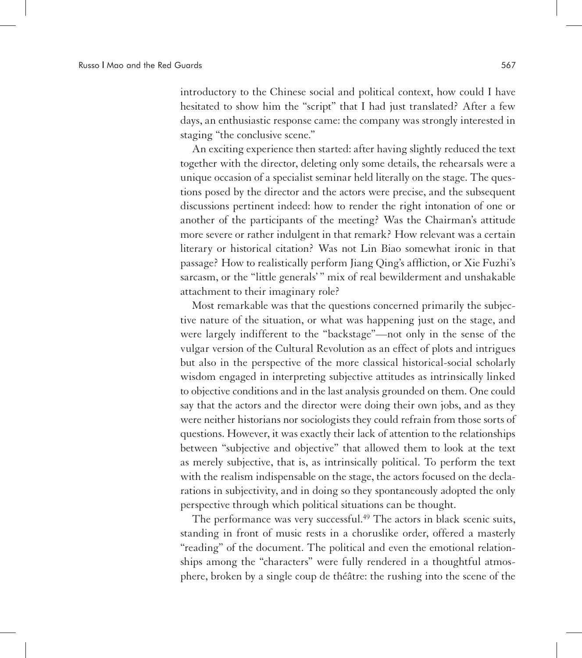introductory to the Chinese social and political context, how could I have hesitated to show him the "script" that I had just translated? After a few days, an enthusiastic response came: the company was strongly interested in staging "the conclusive scene."

An exciting experience then started: after having slightly reduced the text together with the director, deleting only some details, the rehearsals were a unique occasion of a specialist seminar held literally on the stage. The questions posed by the director and the actors were precise, and the subsequent discussions pertinent indeed: how to render the right intonation of one or another of the participants of the meeting? Was the Chairman's attitude more severe or rather indulgent in that remark? How relevant was a certain literary or historical citation? Was not Lin Biao somewhat ironic in that passage? How to realistically perform Jiang Qing's affliction, or Xie Fuzhi's sarcasm, or the "little generals'" mix of real bewilderment and unshakable attachment to their imaginary role?

Most remarkable was that the questions concerned primarily the subjective nature of the situation, or what was happening just on the stage, and were largely indifferent to the "backstage"—not only in the sense of the vulgar version of the Cultural Revolution as an effect of plots and intrigues but also in the perspective of the more classical historical-social scholarly wisdom engaged in interpreting subjective attitudes as intrinsically linked to objective conditions and in the last analysis grounded on them. One could say that the actors and the director were doing their own jobs, and as they were neither historians nor sociologists they could refrain from those sorts of questions. However, it was exactly their lack of attention to the relationships between "subjective and objective" that allowed them to look at the text as merely subjective, that is, as intrinsically political. To perform the text with the realism indispensable on the stage, the actors focused on the declarations in subjectivity, and in doing so they spontaneously adopted the only perspective through which political situations can be thought.

The performance was very successful.<sup>49</sup> The actors in black scenic suits, standing in front of music rests in a choruslike order, offered a masterly "reading" of the document. The political and even the emotional relationships among the "characters" were fully rendered in a thoughtful atmosphere, broken by a single coup de théâtre: the rushing into the scene of the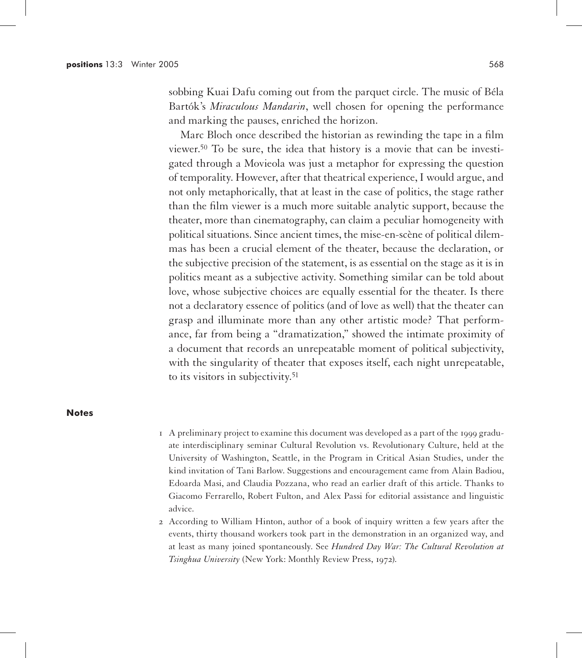sobbing Kuai Dafu coming out from the parquet circle. The music of Béla Bartók's *Miraculous Mandarin*, well chosen for opening the performance and marking the pauses, enriched the horizon.

Marc Bloch once described the historian as rewinding the tape in a film viewer.<sup>50</sup> To be sure, the idea that history is a movie that can be investigated through a Movieola was just a metaphor for expressing the question of temporality. However, after that theatrical experience, I would argue, and not only metaphorically, that at least in the case of politics, the stage rather than the film viewer is a much more suitable analytic support, because the theater, more than cinematography, can claim a peculiar homogeneity with political situations. Since ancient times, the mise-en-scène of political dilemmas has been a crucial element of the theater, because the declaration, or the subjective precision of the statement, is as essential on the stage as it is in politics meant as a subjective activity. Something similar can be told about love, whose subjective choices are equally essential for the theater. Is there not a declaratory essence of politics (and of love as well) that the theater can grasp and illuminate more than any other artistic mode? That performance, far from being a "dramatization," showed the intimate proximity of a document that records an unrepeatable moment of political subjectivity, with the singularity of theater that exposes itself, each night unrepeatable, to its visitors in subjectivity.<sup>51</sup>

#### **Notes**

- 1 A preliminary project to examine this document was developed as a part of the 1999 graduate interdisciplinary seminar Cultural Revolution vs. Revolutionary Culture, held at the University of Washington, Seattle, in the Program in Critical Asian Studies, under the kind invitation of Tani Barlow. Suggestions and encouragement came from Alain Badiou, Edoarda Masi, and Claudia Pozzana, who read an earlier draft of this article. Thanks to Giacomo Ferrarello, Robert Fulton, and Alex Passi for editorial assistance and linguistic advice.
- 2 According to William Hinton, author of a book of inquiry written a few years after the events, thirty thousand workers took part in the demonstration in an organized way, and at least as many joined spontaneously. See *Hundred Day War: The Cultural Revolution at Tsinghua University* (New York: Monthly Review Press, 1972).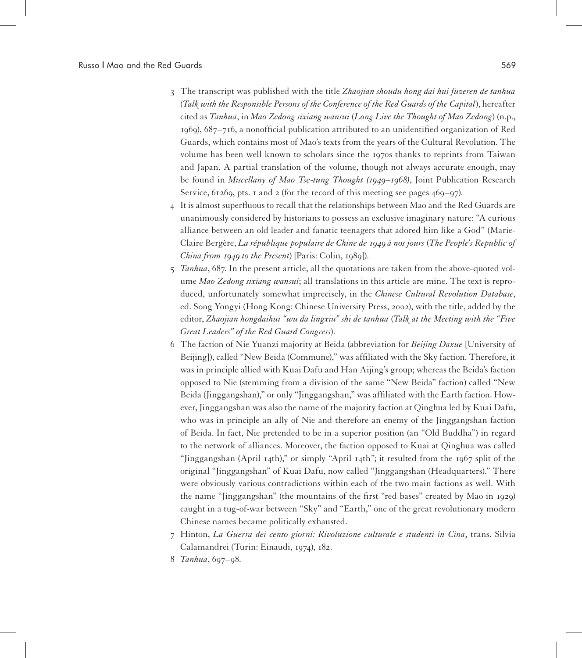- 3 The transcript was published with the title *Zhaojian shoudu hong dai hui fuzeren de tanhua* (*Talk with the Responsible Persons of the Conference of the Red Guards of the Capital*), hereafter cited as *Tanhua*, in *Mao Zedong sixiang wansui* (*Long Live the Thought of Mao Zedong*) (n.p., 1969), 687–716, a nonofficial publication attributed to an unidentified organization of Red Guards, which contains most of Mao's texts from the years of the Cultural Revolution. The volume has been well known to scholars since the 1970s thanks to reprints from Taiwan and Japan. A partial translation of the volume, though not always accurate enough, may be found in *Miscellany of Mao Tse-tung Thought (1949–1968)*, Joint Publication Research Service, 61269, pts. 1 and 2 (for the record of this meeting see pages 469–97).
- 4 It is almost superfluous to recall that the relationships between Mao and the Red Guards are unanimously considered by historians to possess an exclusive imaginary nature: "A curious alliance between an old leader and fanatic teenagers that adored him like a God" (Marie-Claire Bergère, *La république populaire de Chine de 1949 à nos jours* (*The People's Republic of China from 1949 to the Present*) [Paris: Colin, 1989]).
- 5 *Tanhua*, 687. In the present article, all the quotations are taken from the above-quoted volume *Mao Zedong sixiang wansui*; all translations in this article are mine. The text is reproduced, unfortunately somewhat imprecisely, in the *Chinese Cultural Revolution Database*, ed. Song Yongyi (Hong Kong: Chinese University Press, 2002), with the title, added by the editor, *Zhaojian hongdaihui "wu da lingxiu" shi de tanhua* (*Talk at the Meeting with the "Five Great Leaders" of the Red Guard Congress*).
- 6 The faction of Nie Yuanzi majority at Beida (abbreviation for *Beijing Daxue* [University of Beijing]), called "New Beida (Commune)," was affiliated with the Sky faction. Therefore, it was in principle allied with Kuai Dafu and Han Aijing's group; whereas the Beida's faction opposed to Nie (stemming from a division of the same "New Beida" faction) called "New Beida (Jinggangshan)," or only "Jinggangshan," was affiliated with the Earth faction. However, Jinggangshan was also the name of the majority faction at Qinghua led by Kuai Dafu, who was in principle an ally of Nie and therefore an enemy of the Jinggangshan faction of Beida. In fact, Nie pretended to be in a superior position (an "Old Buddha") in regard to the network of alliances. Moreover, the faction opposed to Kuai at Qinghua was called "Jinggangshan (April 14th)," or simply "April 14th"; it resulted from the 1967 split of the original "Jinggangshan" of Kuai Dafu, now called "Jinggangshan (Headquarters)." There were obviously various contradictions within each of the two main factions as well. With the name "Jinggangshan" (the mountains of the first "red bases" created by Mao in 1929) caught in a tug-of-war between "Sky" and "Earth," one of the great revolutionary modern Chinese names became politically exhausted.
- 7 Hinton, *La Guerra dei cento giorni: Rivoluzione culturale e studenti in Cina*, trans. Silvia Calamandrei (Turin: Einaudi, 1974), 182.
- 8 *Tanhua*, 697–98.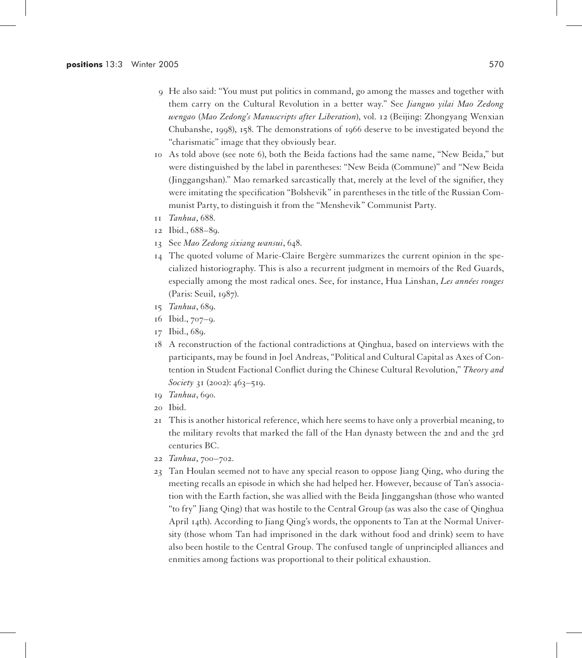- 9 He also said: "You must put politics in command, go among the masses and together with them carry on the Cultural Revolution in a better way." See *Jianguo yilai Mao Zedong wengao* (*Mao Zedong's Manuscripts after Liberation*), vol. 12 (Beijing: Zhongyang Wenxian Chubanshe, 1998), 158. The demonstrations of 1966 deserve to be investigated beyond the "charismatic" image that they obviously bear.
- 10 As told above (see note 6), both the Beida factions had the same name, "New Beida," but were distinguished by the label in parentheses: "New Beida (Commune)" and "New Beida (Jinggangshan)." Mao remarked sarcastically that, merely at the level of the signifier, they were imitating the specification "Bolshevik" in parentheses in the title of the Russian Communist Party, to distinguish it from the "Menshevik" Communist Party.
- 11 *Tanhua*, 688.
- 12 Ibid., 688–89.
- 13 See *Mao Zedong sixiang wansui*, 648.
- 14 The quoted volume of Marie-Claire Bergère summarizes the current opinion in the specialized historiography. This is also a recurrent judgment in memoirs of the Red Guards, especially among the most radical ones. See, for instance, Hua Linshan, *Les années rouges* (Paris: Seuil, 1987).
- 15 *Tanhua*, 689.
- 16 Ibid., 707–9.
- 17 Ibid., 689.
- 18 A reconstruction of the factional contradictions at Qinghua, based on interviews with the participants, may be found in Joel Andreas, "Political and Cultural Capital as Axes of Contention in Student Factional Conflict during the Chinese Cultural Revolution," *Theory and Society* 31 (2002): 463–519.
- 19 *Tanhua*, 690.
- 20 Ibid.
- 21 This is another historical reference, which here seems to have only a proverbial meaning, to the military revolts that marked the fall of the Han dynasty between the 2nd and the 3rd centuries BC.
- 22 *Tanhua*, 700–702.
- 23 Tan Houlan seemed not to have any special reason to oppose Jiang Qing, who during the meeting recalls an episode in which she had helped her. However, because of Tan's association with the Earth faction, she was allied with the Beida Jinggangshan (those who wanted "to fry" Jiang Qing) that was hostile to the Central Group (as was also the case of Qinghua April 14th). According to Jiang Qing's words, the opponents to Tan at the Normal University (those whom Tan had imprisoned in the dark without food and drink) seem to have also been hostile to the Central Group. The confused tangle of unprincipled alliances and enmities among factions was proportional to their political exhaustion.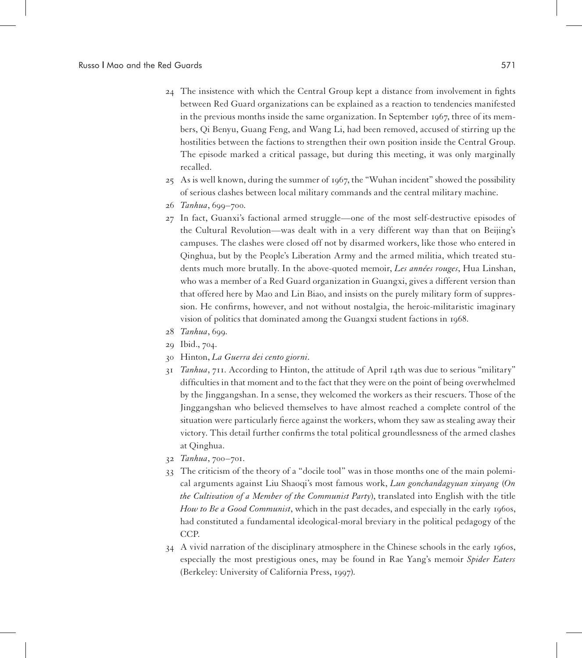- 24 The insistence with which the Central Group kept a distance from involvement in fights between Red Guard organizations can be explained as a reaction to tendencies manifested in the previous months inside the same organization. In September 1967, three of its members, Qi Benyu, Guang Feng, and Wang Li, had been removed, accused of stirring up the hostilities between the factions to strengthen their own position inside the Central Group. The episode marked a critical passage, but during this meeting, it was only marginally recalled.
- 25 As is well known, during the summer of 1967, the "Wuhan incident" showed the possibility of serious clashes between local military commands and the central military machine.
- 26 *Tanhua*, 699–700.
- 27 In fact, Guanxi's factional armed struggle—one of the most self-destructive episodes of the Cultural Revolution—was dealt with in a very different way than that on Beijing's campuses. The clashes were closed off not by disarmed workers, like those who entered in Qinghua, but by the People's Liberation Army and the armed militia, which treated students much more brutally. In the above-quoted memoir, *Les années rouges*, Hua Linshan, who was a member of a Red Guard organization in Guangxi, gives a different version than that offered here by Mao and Lin Biao, and insists on the purely military form of suppression. He confirms, however, and not without nostalgia, the heroic-militaristic imaginary vision of politics that dominated among the Guangxi student factions in 1968.
- 28 *Tanhua*, 699.
- 29 Ibid., 704.
- 30 Hinton, *La Guerra dei cento giorni*.
- 31 *Tanhua*, 711. According to Hinton, the attitude of April 14th was due to serious "military" difficulties in that moment and to the fact that they were on the point of being overwhelmed by the Jinggangshan. In a sense, they welcomed the workers as their rescuers. Those of the Jinggangshan who believed themselves to have almost reached a complete control of the situation were particularly fierce against the workers, whom they saw as stealing away their victory. This detail further confirms the total political groundlessness of the armed clashes at Qinghua.
- 32 *Tanhua*, 700–701.
- 33 The criticism of the theory of a "docile tool" was in those months one of the main polemical arguments against Liu Shaoqi's most famous work, *Lun gonchandagyuan xiuyang* (*On the Cultivation of a Member of the Communist Party*), translated into English with the title *How to Be a Good Communist*, which in the past decades, and especially in the early 1960s, had constituted a fundamental ideological-moral breviary in the political pedagogy of the CCP.
- 34 A vivid narration of the disciplinary atmosphere in the Chinese schools in the early 1960s, especially the most prestigious ones, may be found in Rae Yang's memoir *Spider Eaters* (Berkeley: University of California Press, 1997).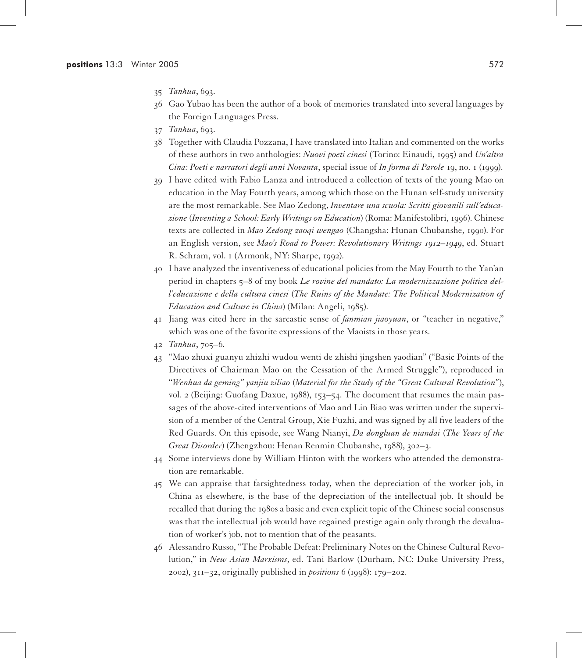- 35 *Tanhua*, 693.
- 36 Gao Yubao has been the author of a book of memories translated into several languages by the Foreign Languages Press.
- 37 *Tanhua*, 693.
- 38 Together with Claudia Pozzana, I have translated into Italian and commented on the works of these authors in two anthologies: *Nuovi poeti cinesi* (Torino: Einaudi, 1995) and *Un'altra Cina: Poeti e narratori degli anni Novanta*, special issue of *In forma di Parole* 19, no. 1 (1999).
- 39 I have edited with Fabio Lanza and introduced a collection of texts of the young Mao on education in the May Fourth years, among which those on the Hunan self-study university are the most remarkable. See Mao Zedong, *Inventare una scuola: Scritti giovanili sull'educazione* (*Inventing a School: Early Writings on Education*) (Roma: Manifestolibri, 1996). Chinese texts are collected in *Mao Zedong zaoqi wengao* (Changsha: Hunan Chubanshe, 1990). For an English version, see *Mao's Road to Power: Revolutionary Writings 1912–1949*, ed. Stuart R. Schram, vol. 1 (Armonk, NY: Sharpe, 1992).
- 40 I have analyzed the inventiveness of educational policies from the May Fourth to the Yan'an period in chapters 5–8 of my book *Le rovine del mandato: La modernizzazione politica dell'educazione e della cultura cinesi* (*The Ruins of the Mandate: The Political Modernization of Education and Culture in China*) (Milan: Angeli, 1985).
- 41 Jiang was cited here in the sarcastic sense of *fanmian jiaoyuan*, or "teacher in negative," which was one of the favorite expressions of the Maoists in those years.
- 42 *Tanhua*, 705–6.
- 43 "Mao zhuxi guanyu zhizhi wudou wenti de zhishi jingshen yaodian" ("Basic Points of the Directives of Chairman Mao on the Cessation of the Armed Struggle"), reproduced in "*Wenhua da geming" yanjiu ziliao* (*Material for the Study of the "Great Cultural Revolution"*), vol. 2 (Beijing: Guofang Daxue, 1988), 153–54. The document that resumes the main passages of the above-cited interventions of Mao and Lin Biao was written under the supervision of a member of the Central Group, Xie Fuzhi, and was signed by all five leaders of the Red Guards. On this episode, see Wang Nianyi, *Da dongluan de niandai* (*The Years of the Great Disorder*) (Zhengzhou: Henan Renmin Chubanshe, 1988), 302–3.
- 44 Some interviews done by William Hinton with the workers who attended the demonstration are remarkable.
- 45 We can appraise that farsightedness today, when the depreciation of the worker job, in China as elsewhere, is the base of the depreciation of the intellectual job. It should be recalled that during the 1980s a basic and even explicit topic of the Chinese social consensus was that the intellectual job would have regained prestige again only through the devaluation of worker's job, not to mention that of the peasants.
- 46 Alessandro Russo, "The Probable Defeat: Preliminary Notes on the Chinese Cultural Revolution," in *New Asian Marxisms*, ed. Tani Barlow (Durham, NC: Duke University Press, 2002), 311–32, originally published in *positions* 6 (1998): 179–202.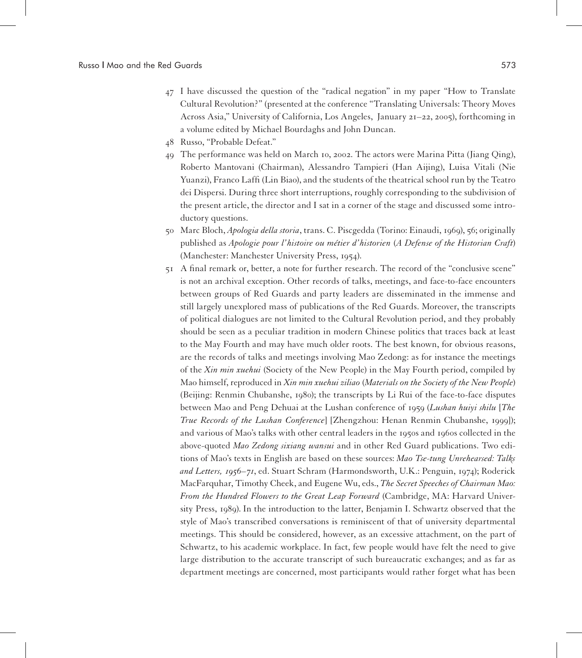- 47 I have discussed the question of the "radical negation" in my paper "How to Translate Cultural Revolution?" (presented at the conference "Translating Universals: Theory Moves Across Asia," University of California, Los Angeles, January 21–22, 2005), forthcoming in a volume edited by Michael Bourdaghs and John Duncan.
- 48 Russo, "Probable Defeat."
- 49 The performance was held on March 10, 2002. The actors were Marina Pitta (Jiang Qing), Roberto Mantovani (Chairman), Alessandro Tampieri (Han Aijing), Luisa Vitali (Nie Yuanzi), Franco Laffi (Lin Biao), and the students of the theatrical school run by the Teatro dei Dispersi. During three short interruptions, roughly corresponding to the subdivision of the present article, the director and I sat in a corner of the stage and discussed some introductory questions.
- 50 Marc Bloch, *Apologia della storia*, trans. C. Piscgedda (Torino: Einaudi, 1969), 56; originally published as *Apologie pour l'histoire ou métier d'historien* (*A Defense of the Historian Craft*) (Manchester: Manchester University Press, 1954).
- 51 A final remark or, better, a note for further research. The record of the "conclusive scene" is not an archival exception. Other records of talks, meetings, and face-to-face encounters between groups of Red Guards and party leaders are disseminated in the immense and still largely unexplored mass of publications of the Red Guards. Moreover, the transcripts of political dialogues are not limited to the Cultural Revolution period, and they probably should be seen as a peculiar tradition in modern Chinese politics that traces back at least to the May Fourth and may have much older roots. The best known, for obvious reasons, are the records of talks and meetings involving Mao Zedong: as for instance the meetings of the *Xin min xuehui* (Society of the New People) in the May Fourth period, compiled by Mao himself, reproduced in *Xin min xuehui ziliao* (*Materials on the Society of the New People*) (Beijing: Renmin Chubanshe, 1980); the transcripts by Li Rui of the face-to-face disputes between Mao and Peng Dehuai at the Lushan conference of 1959 (*Lushan huiyi shilu* [*The True Records of the Lushan Conference*] [Zhengzhou: Henan Renmin Chubanshe, 1999]); and various of Mao's talks with other central leaders in the 1950s and 1960s collected in the above-quoted *Mao Zedong sixiang wansui* and in other Red Guard publications. Two editions of Mao's texts in English are based on these sources: *Mao Tse-tung Unrehearsed: Talks and Letters, 1956–71*, ed. Stuart Schram (Harmondsworth, U.K.: Penguin, 1974); Roderick MacFarquhar, Timothy Cheek, and Eugene Wu, eds., *The Secret Speeches of Chairman Mao: From the Hundred Flowers to the Great Leap Forward* (Cambridge, MA: Harvard University Press, 1989). In the introduction to the latter, Benjamin I. Schwartz observed that the style of Mao's transcribed conversations is reminiscent of that of university departmental meetings. This should be considered, however, as an excessive attachment, on the part of Schwartz, to his academic workplace. In fact, few people would have felt the need to give large distribution to the accurate transcript of such bureaucratic exchanges; and as far as department meetings are concerned, most participants would rather forget what has been